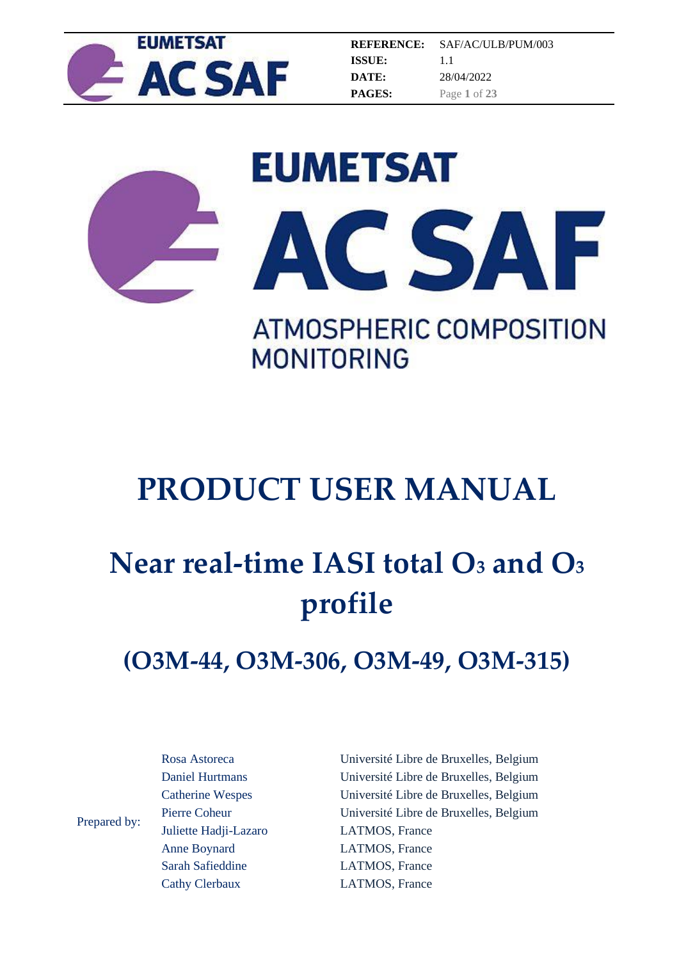

**REFERENCE: ISSUE: DATE: PAGES:** SAF/AC/ULB/PUM/003 1.1 28/04/2022 Page **1** of **23**





**MONITORING** 

## **PRODUCT USER MANUAL**

# **Near real-time IASI total O<sup>3</sup> and O<sup>3</sup> profile**

## **(O3M-44, O3M-306, O3M-49, O3M-315)**

Prepared by: Rosa Astoreca Daniel Hurtmans Catherine Wespes Pierre Coheur Juliette Hadji-Lazaro Anne Boynard Sarah Safieddine

Cathy Clerbaux

Université Libre de Bruxelles, Belgium Université Libre de Bruxelles, Belgium Université Libre de Bruxelles, Belgium Université Libre de Bruxelles, Belgium LATMOS, France LATMOS, France LATMOS, France LATMOS, France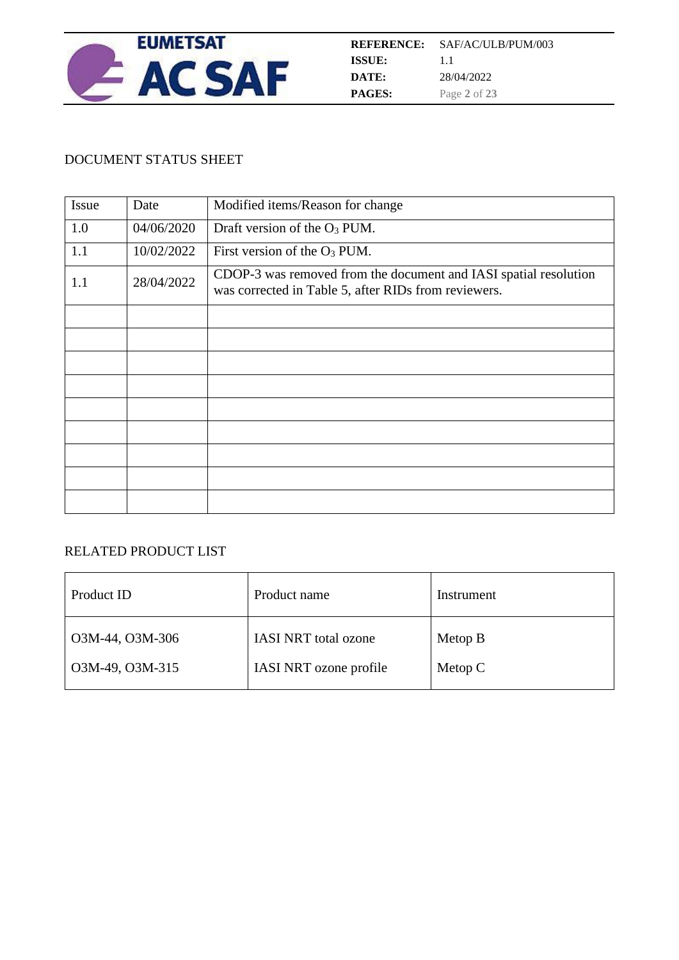

#### DOCUMENT STATUS SHEET

| Issue | Date       | Modified items/Reason for change                                                                                         |
|-------|------------|--------------------------------------------------------------------------------------------------------------------------|
| 1.0   | 04/06/2020 | Draft version of the O <sub>3</sub> PUM.                                                                                 |
| 1.1   | 10/02/2022 | First version of the $O_3$ PUM.                                                                                          |
| 1.1   | 28/04/2022 | CDOP-3 was removed from the document and IASI spatial resolution<br>was corrected in Table 5, after RIDs from reviewers. |
|       |            |                                                                                                                          |
|       |            |                                                                                                                          |
|       |            |                                                                                                                          |
|       |            |                                                                                                                          |
|       |            |                                                                                                                          |
|       |            |                                                                                                                          |
|       |            |                                                                                                                          |
|       |            |                                                                                                                          |
|       |            |                                                                                                                          |

#### RELATED PRODUCT LIST

| Product ID      | Product name                | Instrument |
|-----------------|-----------------------------|------------|
| O3M-44, O3M-306 | <b>IASI NRT</b> total ozone | Metop B    |
| O3M-49, O3M-315 | IASI NRT ozone profile      | Metop $C$  |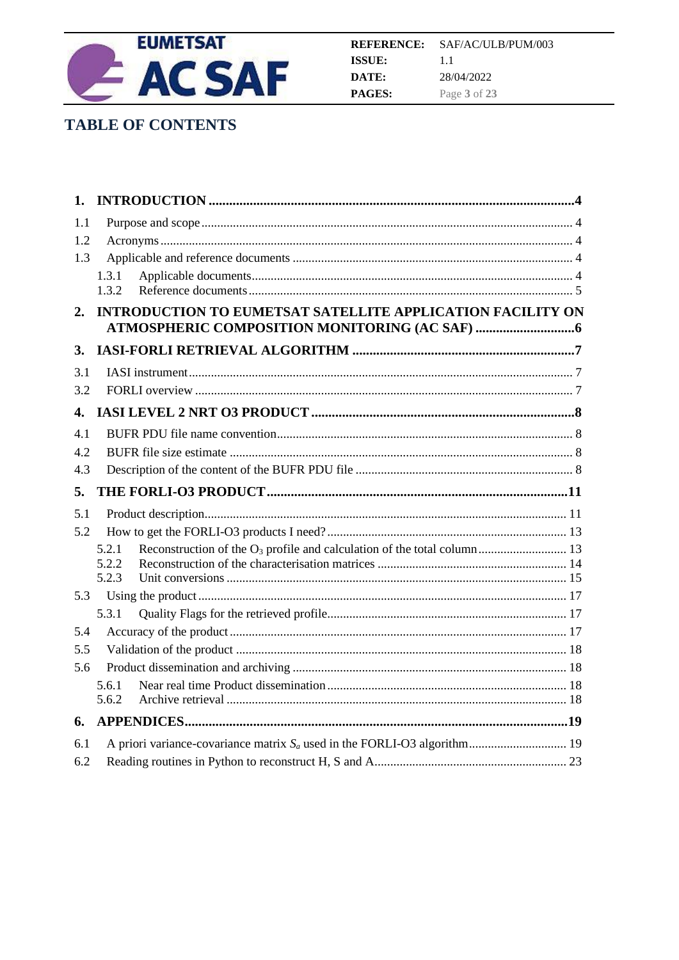

## **TABLE OF CONTENTS**

| 1.         |                                                                   |  |
|------------|-------------------------------------------------------------------|--|
| 1.1        |                                                                   |  |
| 1.2        |                                                                   |  |
| 1.3        |                                                                   |  |
|            | 1.3.1                                                             |  |
|            | 1.3.2                                                             |  |
| 2.         | <b>INTRODUCTION TO EUMETSAT SATELLITE APPLICATION FACILITY ON</b> |  |
|            |                                                                   |  |
| 3.         |                                                                   |  |
| 3.1        |                                                                   |  |
| 3.2        |                                                                   |  |
| 4.         |                                                                   |  |
| 4.1        |                                                                   |  |
| 4.2        |                                                                   |  |
| 4.3        |                                                                   |  |
|            |                                                                   |  |
| 5.         |                                                                   |  |
| 5.1        |                                                                   |  |
| 5.2        |                                                                   |  |
|            | 5.2.1                                                             |  |
|            | 5.2.2                                                             |  |
|            | 5.2.3                                                             |  |
| 5.3        |                                                                   |  |
|            | 5.3.1                                                             |  |
| 5.4        |                                                                   |  |
| 5.5<br>5.6 |                                                                   |  |
|            | 5.6.1                                                             |  |
|            | 5.6.2                                                             |  |
| 6.         |                                                                   |  |
| 6.1        |                                                                   |  |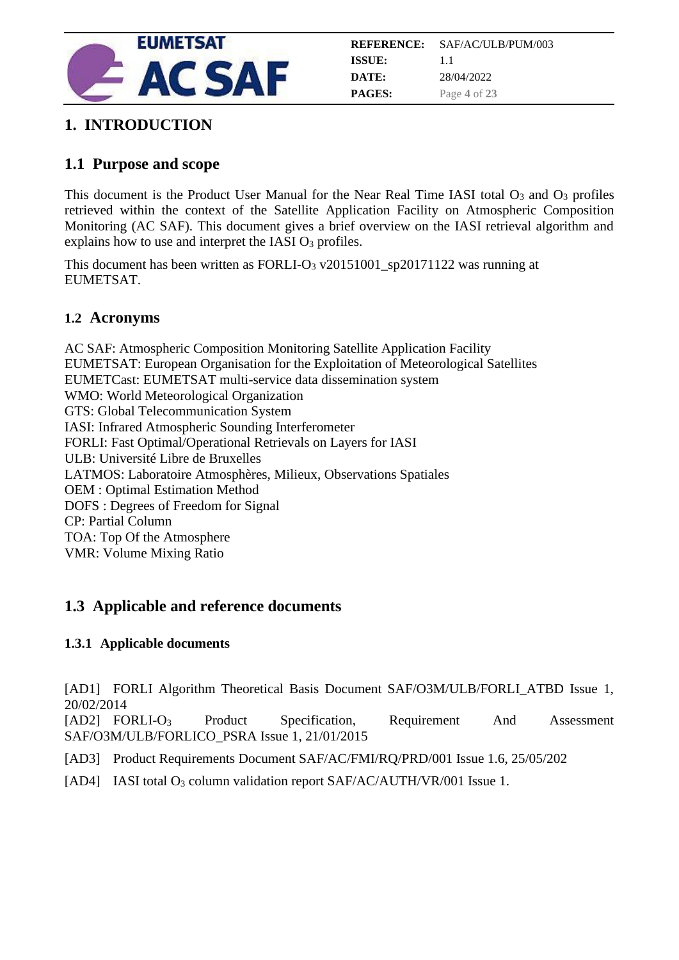

## <span id="page-3-0"></span>**1. INTRODUCTION**

## <span id="page-3-1"></span>**1.1 Purpose and scope**

This document is the Product User Manual for the Near Real Time IASI total  $O_3$  and  $O_3$  profiles retrieved within the context of the Satellite Application Facility on Atmospheric Composition Monitoring (AC SAF). This document gives a brief overview on the IASI retrieval algorithm and explains how to use and interpret the IASI  $O<sub>3</sub>$  profiles.

This document has been written as FORLI-O<sup>3</sup> v20151001\_sp20171122 was running at EUMETSAT.

### <span id="page-3-2"></span>**1.2 Acronyms**

AC SAF: Atmospheric Composition Monitoring Satellite Application Facility EUMETSAT: European Organisation for the Exploitation of Meteorological Satellites EUMETCast: EUMETSAT multi-service data dissemination system WMO: World Meteorological Organization GTS: Global Telecommunication System IASI: Infrared Atmospheric Sounding Interferometer FORLI: Fast Optimal/Operational Retrievals on Layers for IASI ULB: Université Libre de Bruxelles LATMOS: Laboratoire Atmosphères, Milieux, Observations Spatiales OEM : Optimal Estimation Method DOFS : Degrees of Freedom for Signal CP: Partial Column TOA: Top Of the Atmosphere VMR: Volume Mixing Ratio

## <span id="page-3-3"></span>**1.3 Applicable and reference documents**

#### <span id="page-3-4"></span>**1.3.1 Applicable documents**

[AD1] FORLI Algorithm Theoretical Basis Document SAF/O3M/ULB/FORLI\_ATBD Issue 1, 20/02/2014

[AD2] FORLI-O<sup>3</sup> Product Specification, Requirement And Assessment SAF/O3M/ULB/FORLICO\_PSRA Issue 1, 21/01/2015

[AD3] Product Requirements Document SAF/AC/FMI/RQ/PRD/001 Issue 1.6, 25/05/202

[AD4] IASI total O<sub>3</sub> column validation report SAF/AC/AUTH/VR/001 Issue 1.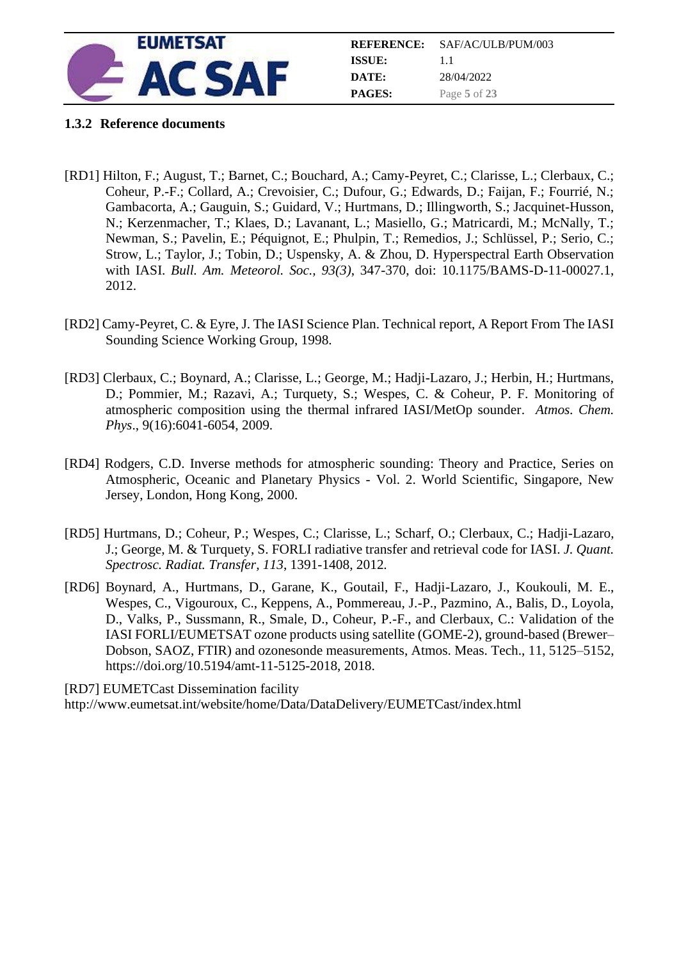

|               | <b>REFERENCE:</b> SAF/AC/ULB/PUM/003 |
|---------------|--------------------------------------|
| ISSUE:        | 11                                   |
| DATE:         | 28/04/2022                           |
| <b>PAGES:</b> | Page 5 of 23                         |

#### <span id="page-4-0"></span>**1.3.2 Reference documents**

- [RD1] Hilton, F.; August, T.; Barnet, C.; Bouchard, A.; Camy-Peyret, C.; Clarisse, L.; Clerbaux, C.; Coheur, P.-F.; Collard, A.; Crevoisier, C.; Dufour, G.; Edwards, D.; Faijan, F.; Fourrié, N.; Gambacorta, A.; Gauguin, S.; Guidard, V.; Hurtmans, D.; Illingworth, S.; Jacquinet-Husson, N.; Kerzenmacher, T.; Klaes, D.; Lavanant, L.; Masiello, G.; Matricardi, M.; McNally, T.; Newman, S.; Pavelin, E.; Péquignot, E.; Phulpin, T.; Remedios, J.; Schlüssel, P.; Serio, C.; Strow, L.; Taylor, J.; Tobin, D.; Uspensky, A. & Zhou, D. Hyperspectral Earth Observation with IASI. *Bull. Am. Meteorol. Soc., 93(3)*, 347-370, doi: 10.1175/BAMS-D-11-00027.1, 2012.
- [RD2] Camy-Peyret, C. & Eyre, J. The IASI Science Plan. Technical report, A Report From The IASI Sounding Science Working Group, 1998.
- [RD3] Clerbaux, C.; Boynard, A.; Clarisse, L.; George, M.; Hadji-Lazaro, J.; Herbin, H.; Hurtmans, D.; Pommier, M.; Razavi, A.; Turquety, S.; Wespes, C. & Coheur, P. F. Monitoring of atmospheric composition using the thermal infrared IASI/MetOp sounder. *Atmos. Chem. Phys*., 9(16):6041-6054, 2009.
- [RD4] Rodgers, C.D. Inverse methods for atmospheric sounding: Theory and Practice, Series on Atmospheric, Oceanic and Planetary Physics - Vol. 2. World Scientific, Singapore, New Jersey, London, Hong Kong, 2000.
- [RD5] Hurtmans, D.; Coheur, P.; Wespes, C.; Clarisse, L.; Scharf, O.; Clerbaux, C.; Hadji-Lazaro, J.; George, M. & Turquety, S. FORLI radiative transfer and retrieval code for IASI. *J. Quant. Spectrosc. Radiat. Transfer, 113*, 1391-1408, 2012*.*
- [RD6] Boynard, A., Hurtmans, D., Garane, K., Goutail, F., Hadji-Lazaro, J., Koukouli, M. E., Wespes, C., Vigouroux, C., Keppens, A., Pommereau, J.-P., Pazmino, A., Balis, D., Loyola, D., Valks, P., Sussmann, R., Smale, D., Coheur, P.-F., and Clerbaux, C.: Validation of the IASI FORLI/EUMETSAT ozone products using satellite (GOME-2), ground-based (Brewer– Dobson, SAOZ, FTIR) and ozonesonde measurements, Atmos. Meas. Tech., 11, 5125–5152, https://doi.org/10.5194/amt-11-5125-2018, 2018.

[RD7] EUMETCast Dissemination facility http://www.eumetsat.int/website/home/Data/DataDelivery/EUMETCast/index.html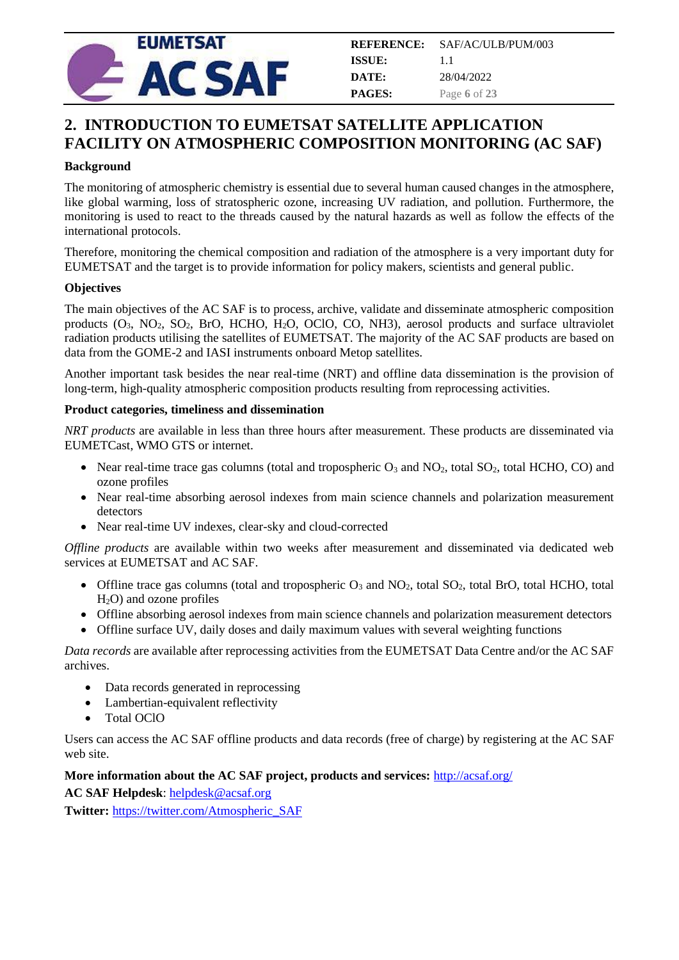

## <span id="page-5-0"></span>**2. INTRODUCTION TO EUMETSAT SATELLITE APPLICATION FACILITY ON ATMOSPHERIC COMPOSITION MONITORING (AC SAF)**

#### **Background**

The monitoring of atmospheric chemistry is essential due to several human caused changes in the atmosphere, like global warming, loss of stratospheric ozone, increasing UV radiation, and pollution. Furthermore, the monitoring is used to react to the threads caused by the natural hazards as well as follow the effects of the international protocols.

Therefore, monitoring the chemical composition and radiation of the atmosphere is a very important duty for EUMETSAT and the target is to provide information for policy makers, scientists and general public.

#### **Objectives**

The main objectives of the AC SAF is to process, archive, validate and disseminate atmospheric composition products  $(O_3, NO_2, SO_2, Bro, HCHO, H_2O, OCIO, CO, NH3)$ , aerosol products and surface ultraviolet radiation products utilising the satellites of EUMETSAT. The majority of the AC SAF products are based on data from the GOME-2 and IASI instruments onboard Metop satellites.

Another important task besides the near real-time (NRT) and offline data dissemination is the provision of long-term, high-quality atmospheric composition products resulting from reprocessing activities.

#### **Product categories, timeliness and dissemination**

*NRT products* are available in less than three hours after measurement. These products are disseminated via EUMETCast, WMO GTS or internet.

- Near real-time trace gas columns (total and tropospheric  $O_3$  and  $NO_2$ , total  $SO_2$ , total HCHO, CO) and ozone profiles
- Near real-time absorbing aerosol indexes from main science channels and polarization measurement detectors
- Near real-time UV indexes, clear-sky and cloud-corrected

*Offline products* are available within two weeks after measurement and disseminated via dedicated web services at EUMETSAT and AC SAF.

- Offline trace gas columns (total and tropospheric  $O_3$  and  $NO_2$ , total  $SO_2$ , total BrO, total HCHO, total H2O) and ozone profiles
- Offline absorbing aerosol indexes from main science channels and polarization measurement detectors
- Offline surface UV, daily doses and daily maximum values with several weighting functions

*Data records* are available after reprocessing activities from the EUMETSAT Data Centre and/or the AC SAF archives.

- Data records generated in reprocessing
- Lambertian-equivalent reflectivity
- Total OClO

Users can access the AC SAF offline products and data records (free of charge) by registering at the AC SAF web site.

#### **More information about the AC SAF project, products and services:** <http://acsaf.org/>

**AC SAF Helpdesk**[: helpdesk@acsaf.org](mailto:helpdesk@acsaf.org)

**Twitter:** [https://twitter.com/Atmospheric\\_SAF](https://twitter.com/Atmospheric_SAF)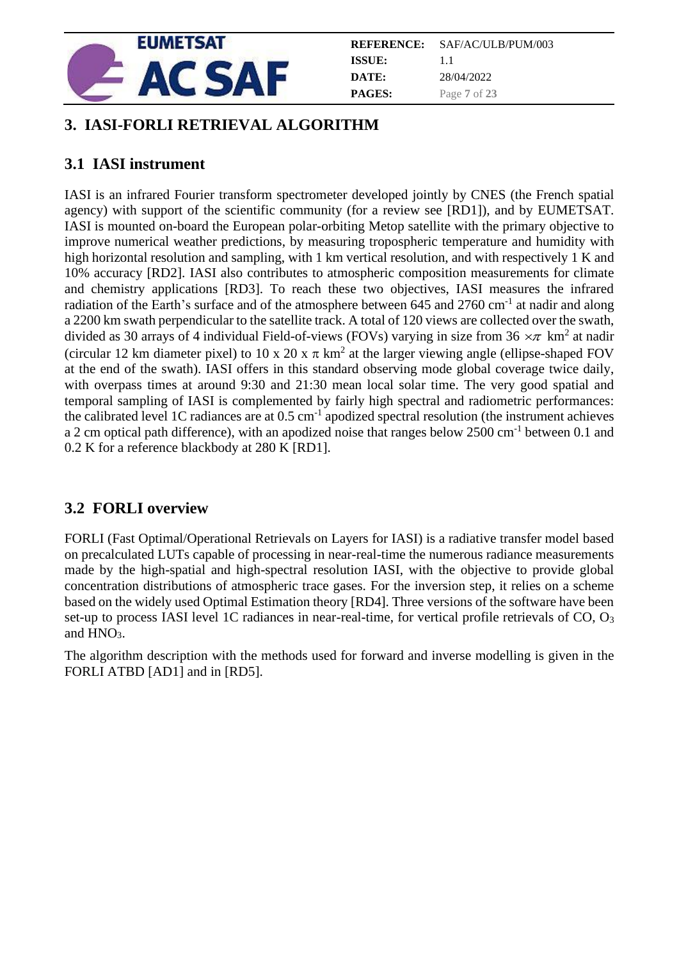

|               | <b>REFERENCE:</b> SAF/AC/ULB/PUM/003 |
|---------------|--------------------------------------|
| ISSUE:        | 11                                   |
| DATE:         | 28/04/2022                           |
| <b>PAGES:</b> | Page 7 of 23                         |

## <span id="page-6-0"></span>**3. IASI-FORLI RETRIEVAL ALGORITHM**

## <span id="page-6-1"></span>**3.1 IASI instrument**

IASI is an infrared Fourier transform spectrometer developed jointly by CNES (the French spatial agency) with support of the scientific community (for a review see [RD1]), and by EUMETSAT. IASI is mounted on-board the European polar-orbiting Metop satellite with the primary objective to improve numerical weather predictions, by measuring tropospheric temperature and humidity with high horizontal resolution and sampling, with 1 km vertical resolution, and with respectively 1 K and 10% accuracy [RD2]. IASI also contributes to atmospheric composition measurements for climate and chemistry applications [RD3]. To reach these two objectives, IASI measures the infrared radiation of the Earth's surface and of the atmosphere between 645 and 2760 cm<sup>-1</sup> at nadir and along a 2200 km swath perpendicular to the satellite track. A total of 120 views are collected over the swath, divided as 30 arrays of 4 individual Field-of-views (FOVs) varying in size from 36  $\times\pi$  km<sup>2</sup> at nadir (circular 12 km diameter pixel) to 10 x 20 x  $\pi$  km<sup>2</sup> at the larger viewing angle (ellipse-shaped FOV at the end of the swath). IASI offers in this standard observing mode global coverage twice daily, with overpass times at around 9:30 and 21:30 mean local solar time. The very good spatial and temporal sampling of IASI is complemented by fairly high spectral and radiometric performances: the calibrated level 1C radiances are at  $0.5 \text{ cm}^{-1}$  apodized spectral resolution (the instrument achieves a 2 cm optical path difference), with an apodized noise that ranges below 2500 cm<sup>-1</sup> between 0.1 and 0.2 K for a reference blackbody at 280 K [RD1].

## <span id="page-6-2"></span>**3.2 FORLI overview**

FORLI (Fast Optimal/Operational Retrievals on Layers for IASI) is a radiative transfer model based on precalculated LUTs capable of processing in near-real-time the numerous radiance measurements made by the high-spatial and high-spectral resolution IASI, with the objective to provide global concentration distributions of atmospheric trace gases. For the inversion step, it relies on a scheme based on the widely used Optimal Estimation theory [RD4]. Three versions of the software have been set-up to process IASI level 1C radiances in near-real-time, for vertical profile retrievals of CO, O<sub>3</sub> and HNO<sub>3</sub>.

The algorithm description with the methods used for forward and inverse modelling is given in the FORLI ATBD [AD1] and in [RD5].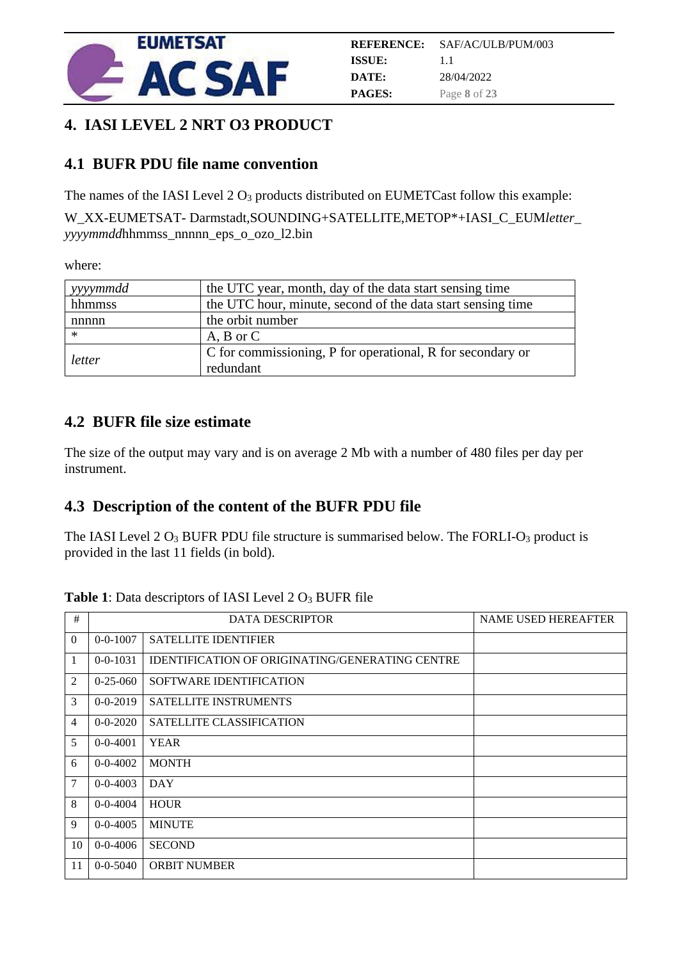

## <span id="page-7-0"></span>**4. IASI LEVEL 2 NRT O3 PRODUCT**

## <span id="page-7-1"></span>**4.1 BUFR PDU file name convention**

The names of the IASI Level  $2 O_3$  products distributed on EUMETCast follow this example:

W\_XX-EUMETSAT- Darmstadt,SOUNDING+SATELLITE,METOP\*+IASI\_C\_EUM*letter*\_ *yyyymmdd*hhmmss\_nnnnn\_eps\_o\_ozo\_l2.bin

where:

| vyyymmdd | the UTC year, month, day of the data start sensing time     |
|----------|-------------------------------------------------------------|
| hhmmss   | the UTC hour, minute, second of the data start sensing time |
| nnnnn    | the orbit number                                            |
| $\ast$   | $A, B$ or $C$                                               |
|          | C for commissioning, P for operational, R for secondary or  |
| letter   | redundant                                                   |

## <span id="page-7-2"></span>**4.2 BUFR file size estimate**

The size of the output may vary and is on average 2 Mb with a number of 480 files per day per instrument.

## <span id="page-7-3"></span>**4.3 Description of the content of the BUFR PDU file**

The IASI Level  $2 O_3$  BUFR PDU file structure is summarised below. The FORLI- $O_3$  product is provided in the last 11 fields (in bold).

| <b>Table 1:</b> Data descriptors of IASI Level 2 O <sub>3</sub> BUFR file |  |
|---------------------------------------------------------------------------|--|
|---------------------------------------------------------------------------|--|

| $\#$           |                | <b>DATA DESCRIPTOR</b>                                 | <b>NAME USED HEREAFTER</b> |
|----------------|----------------|--------------------------------------------------------|----------------------------|
| $\overline{0}$ | $0 - 0 - 1007$ | <b>SATELLITE IDENTIFIER</b>                            |                            |
| 1              | $0 - 0 - 1031$ | <b>IDENTIFICATION OF ORIGINATING/GENERATING CENTRE</b> |                            |
| 2              | $0 - 25 - 060$ | SOFTWARE IDENTIFICATION                                |                            |
| 3              | $0 - 0 - 2019$ | SATELLITE INSTRUMENTS                                  |                            |
| 4              | $0 - 0 - 2020$ | <b>SATELLITE CLASSIFICATION</b>                        |                            |
| 5              | $0 - 0 - 4001$ | <b>YEAR</b>                                            |                            |
| 6              | $0 - 0 - 4002$ | <b>MONTH</b>                                           |                            |
| 7              | $0 - 0 - 4003$ | <b>DAY</b>                                             |                            |
| 8              | $0 - 0 - 4004$ | <b>HOUR</b>                                            |                            |
| 9              | $0 - 0 - 4005$ | <b>MINUTE</b>                                          |                            |
| 10             | $0 - 0 - 4006$ | <b>SECOND</b>                                          |                            |
| 11             | $0 - 0 - 5040$ | <b>ORBIT NUMBER</b>                                    |                            |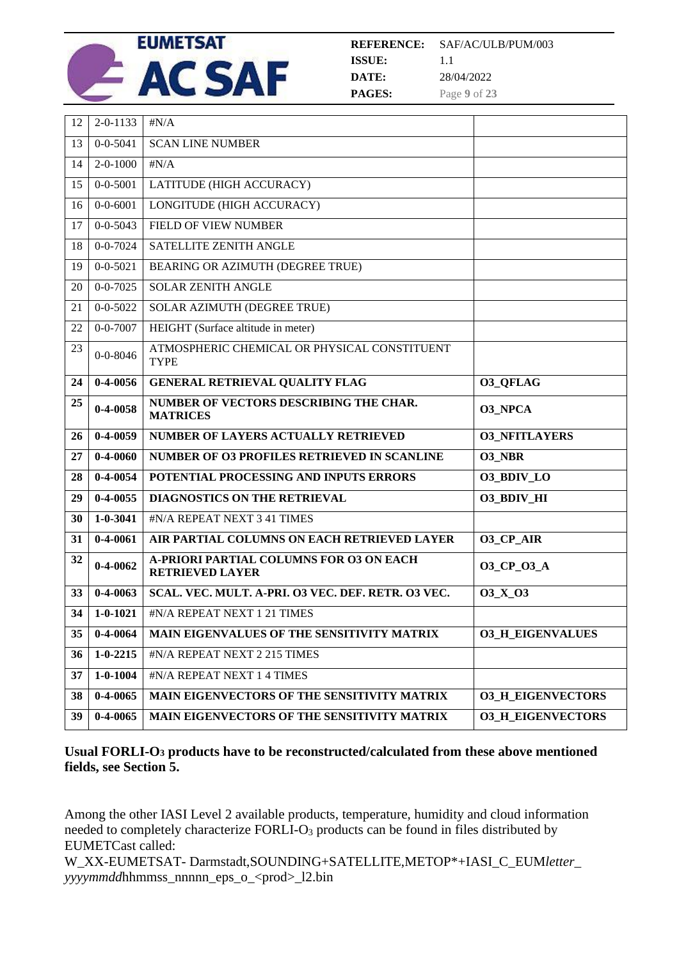

**REFERENCE: ISSUE: DATE: PAGES:** SAF/AC/ULB/PUM/003 1.1 28/04/2022 Page **9** of **23**

| 12 | $2 - 0 - 1133$ | $\sharp N/A$                                                             |                          |
|----|----------------|--------------------------------------------------------------------------|--------------------------|
| 13 | $0 - 0 - 5041$ | <b>SCAN LINE NUMBER</b>                                                  |                          |
| 14 | $2 - 0 - 1000$ | $\sharp N/A$                                                             |                          |
| 15 | $0 - 0 - 5001$ | LATITUDE (HIGH ACCURACY)                                                 |                          |
| 16 | $0 - 0 - 6001$ | LONGITUDE (HIGH ACCURACY)                                                |                          |
| 17 | $0 - 0 - 5043$ | FIELD OF VIEW NUMBER                                                     |                          |
| 18 | $0 - 0 - 7024$ | SATELLITE ZENITH ANGLE                                                   |                          |
| 19 | $0 - 0 - 5021$ | BEARING OR AZIMUTH (DEGREE TRUE)                                         |                          |
| 20 | $0 - 0 - 7025$ | <b>SOLAR ZENITH ANGLE</b>                                                |                          |
| 21 | $0 - 0 - 5022$ | SOLAR AZIMUTH (DEGREE TRUE)                                              |                          |
| 22 | $0 - 0 - 7007$ | HEIGHT (Surface altitude in meter)                                       |                          |
| 23 | $0 - 0 - 8046$ | ATMOSPHERIC CHEMICAL OR PHYSICAL CONSTITUENT<br><b>TYPE</b>              |                          |
| 24 | $0-4-0056$     | <b>GENERAL RETRIEVAL QUALITY FLAG</b>                                    | <b>03 OFLAG</b>          |
| 25 | $0 - 4 - 0058$ | NUMBER OF VECTORS DESCRIBING THE CHAR.<br><b>MATRICES</b>                | <b>03 NPCA</b>           |
|    |                |                                                                          |                          |
| 26 | $0 - 4 - 0059$ | NUMBER OF LAYERS ACTUALLY RETRIEVED                                      | <b>03_NFITLAYERS</b>     |
| 27 | $0 - 4 - 0060$ | NUMBER OF O3 PROFILES RETRIEVED IN SCANLINE                              | <b>O3 NBR</b>            |
| 28 | $0 - 4 - 0054$ | POTENTIAL PROCESSING AND INPUTS ERRORS                                   | 03_BDIV_LO               |
| 29 | $0 - 4 - 0055$ | <b>DIAGNOSTICS ON THE RETRIEVAL</b>                                      | <b>03 BDIV HI</b>        |
| 30 | $1 - 0 - 3041$ | #N/A REPEAT NEXT 3 41 TIMES                                              |                          |
| 31 | $0 - 4 - 0061$ | AIR PARTIAL COLUMNS ON EACH RETRIEVED LAYER                              | <b>O3_CP_AIR</b>         |
| 32 | $0 - 4 - 0062$ | <b>A-PRIORI PARTIAL COLUMNS FOR O3 ON EACH</b><br><b>RETRIEVED LAYER</b> | 03_CP_03_A               |
| 33 | $0-4-0063$     | SCAL. VEC. MULT. A-PRI. 03 VEC. DEF. RETR. 03 VEC.                       | O3 X O3                  |
| 34 | $1 - 0 - 1021$ | #N/A REPEAT NEXT 1 21 TIMES                                              |                          |
| 35 | $0 - 4 - 0064$ | MAIN EIGENVALUES OF THE SENSITIVITY MATRIX                               | <b>03_H_EIGENVALUES</b>  |
| 36 | $1 - 0 - 2215$ | #N/A REPEAT NEXT 2 215 TIMES                                             |                          |
| 37 | $1 - 0 - 1004$ | #N/A REPEAT NEXT 1 4 TIMES                                               |                          |
| 38 | $0-4-0065$     | MAIN EIGENVECTORS OF THE SENSITIVITY MATRIX                              | <b>O3_H_EIGENVECTORS</b> |

#### **Usual FORLI-O<sup>3</sup> products have to be reconstructed/calculated from these above mentioned fields, see Section [5.](#page-10-0)**

Among the other IASI Level 2 available products, temperature, humidity and cloud information needed to completely characterize FORLI-O<sup>3</sup> products can be found in files distributed by EUMETCast called:

W\_XX-EUMETSAT- Darmstadt,SOUNDING+SATELLITE,METOP\*+IASI\_C\_EUM*letter*\_ *yyyymmdd*hhmmss\_nnnnn\_eps\_o\_<prod>\_l2.bin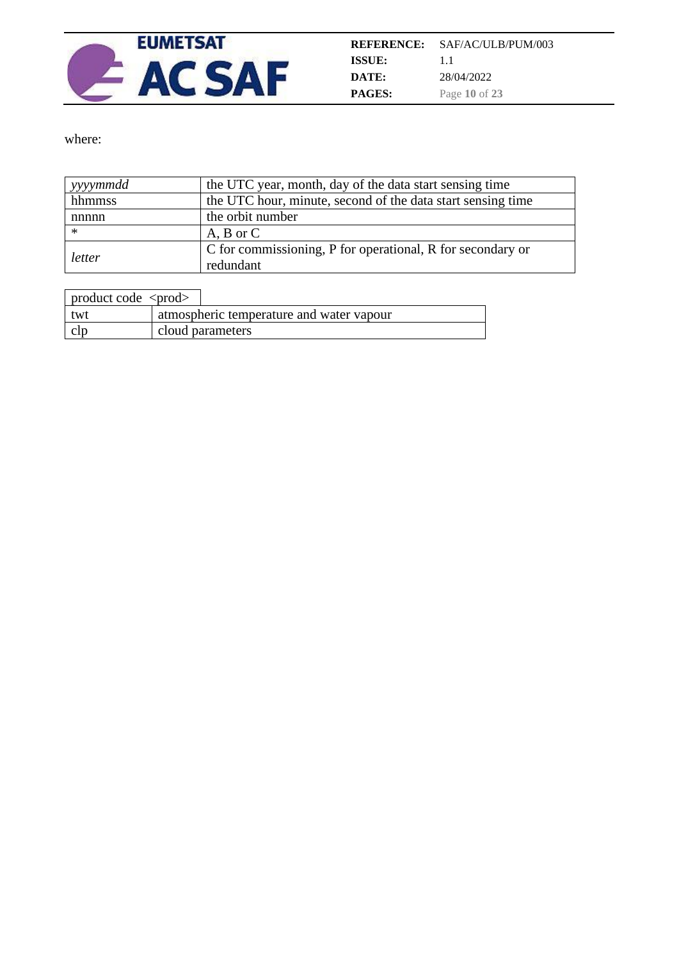

where:

| yyyymmdd | the UTC year, month, day of the data start sensing time     |
|----------|-------------------------------------------------------------|
| hhmmss   | the UTC hour, minute, second of the data start sensing time |
| nnnnn    | the orbit number                                            |
| $\ast$   | $A, B$ or $C$                                               |
| letter   | C for commissioning, P for operational, R for secondary or  |
|          | redundant                                                   |

| product code $\langle \text{prod} \rangle$ |                                          |
|--------------------------------------------|------------------------------------------|
| twt                                        | atmospheric temperature and water vapour |
|                                            | cloud parameters                         |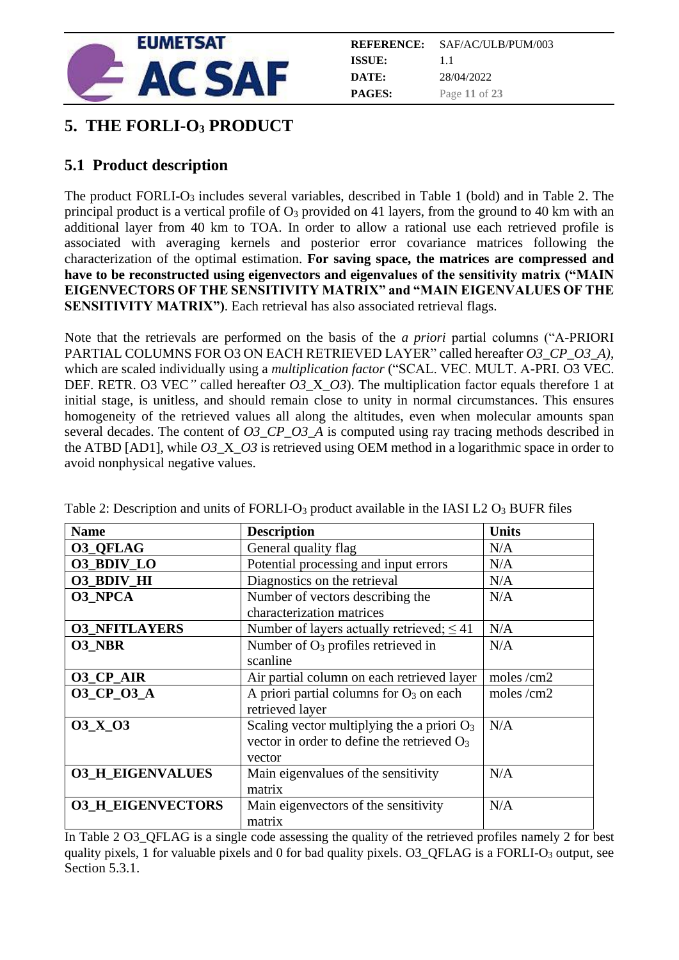

| <b>REFERENCE:</b> | SAF/AC/ULB/PUM/003 |
|-------------------|--------------------|
| ISSUE:            | $1\;1$             |
| DATE:             | 28/04/2022         |
| <b>PAGES:</b>     | Page 11 of 23      |

## <span id="page-10-0"></span>**5. THE FORLI-O<sup>3</sup> PRODUCT**

## <span id="page-10-1"></span>**5.1 Product description**

The product FORLI-O<sub>3</sub> includes several variables, described in Table 1 (bold) and in Table 2. The principal product is a vertical profile of O<sup>3</sup> provided on 41 layers, from the ground to 40 km with an additional layer from 40 km to TOA. In order to allow a rational use each retrieved profile is associated with averaging kernels and posterior error covariance matrices following the characterization of the optimal estimation. **For saving space, the matrices are compressed and have to be reconstructed using eigenvectors and eigenvalues of the sensitivity matrix ("MAIN EIGENVECTORS OF THE SENSITIVITY MATRIX" and "MAIN EIGENVALUES OF THE SENSITIVITY MATRIX"**). Each retrieval has also associated retrieval flags.

Note that the retrievals are performed on the basis of the *a priori* partial columns ("A-PRIORI PARTIAL COLUMNS FOR O3 ON EACH RETRIEVED LAYER" called hereafter *O3\_CP\_O3\_A)*, which are scaled individually using a *multiplication factor* ("SCAL. VEC. MULT. A-PRI. O3 VEC. DEF. RETR. O3 VEC*"* called hereafter *O3*\_X\_*O3*). The multiplication factor equals therefore 1 at initial stage, is unitless, and should remain close to unity in normal circumstances. This ensures homogeneity of the retrieved values all along the altitudes, even when molecular amounts span several decades. The content of *O3\_CP\_O3\_A* is computed using ray tracing methods described in the ATBD [AD1], while  $O3 \times O3$  is retrieved using OEM method in a logarithmic space in order to avoid nonphysical negative values.

| <b>Name</b>              | <b>Description</b>                             | <b>Units</b> |
|--------------------------|------------------------------------------------|--------------|
| <b>O3_QFLAG</b>          | General quality flag                           | N/A          |
| 03_BDIV_LO               | Potential processing and input errors          | N/A          |
| <b>O3_BDIV_HI</b>        | Diagnostics on the retrieval                   | N/A          |
| <b>03 NPCA</b>           | Number of vectors describing the               | N/A          |
|                          | characterization matrices                      |              |
| <b>03 NFITLAYERS</b>     | Number of layers actually retrieved; $\leq 41$ | N/A          |
| <b>O3 NBR</b>            | Number of $O_3$ profiles retrieved in          | N/A          |
|                          | scanline                                       |              |
| <b>O3_CP_AIR</b>         | Air partial column on each retrieved layer     | moles $/cm2$ |
| 03_CP_03_A               | A priori partial columns for $O_3$ on each     | moles $/cm2$ |
|                          | retrieved layer                                |              |
| <b>03 X 03</b>           | Scaling vector multiplying the a priori $O_3$  | N/A          |
|                          | vector in order to define the retrieved $O_3$  |              |
|                          | vector                                         |              |
| <b>03_H_EIGENVALUES</b>  | Main eigenvalues of the sensitivity            | N/A          |
|                          | matrix                                         |              |
| <b>03 H EIGENVECTORS</b> | Main eigenvectors of the sensitivity           | N/A          |
|                          | matrix                                         |              |

Table 2: Description and units of FORLI- $O_3$  product available in the IASI L2  $O_3$  BUFR files

In Table 2 O3\_QFLAG is a single code assessing the quality of the retrieved profiles namely 2 for best quality pixels, 1 for valuable pixels and 0 for bad quality pixels. O3\_QFLAG is a FORLI-O<sub>3</sub> output, see Section 5.3.1.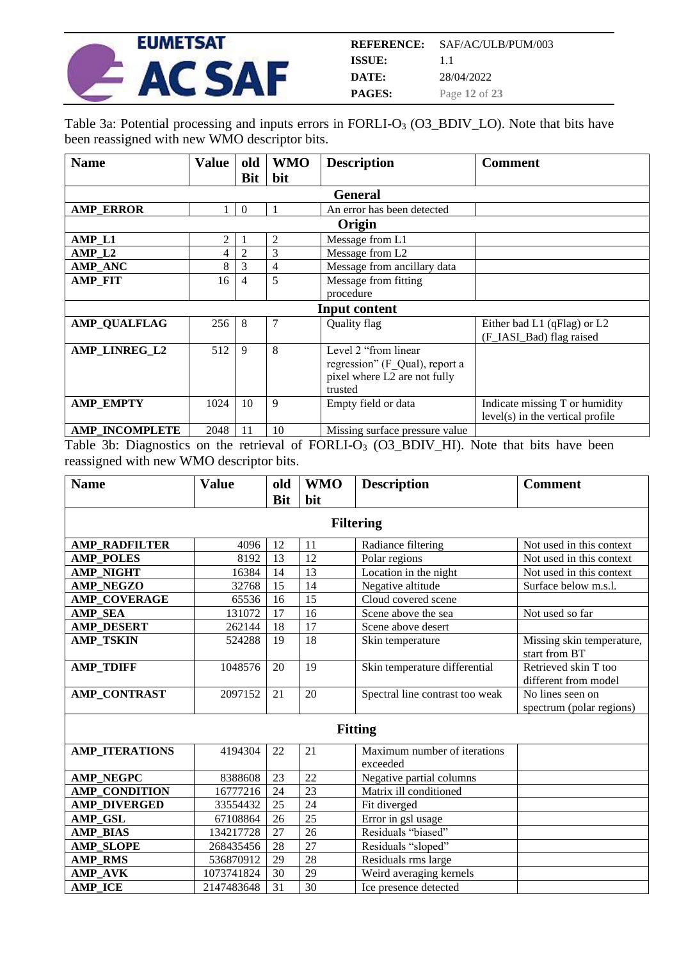

Table 3a: Potential processing and inputs errors in FORLI-O<sub>3</sub> (O3\_BDIV\_LO). Note that bits have been reassigned with new WMO descriptor bits.

| <b>Name</b>           | <b>Value</b> | old            | <b>WMO</b> | <b>Description</b>             | <b>Comment</b>                     |
|-----------------------|--------------|----------------|------------|--------------------------------|------------------------------------|
|                       |              | <b>Bit</b>     | bit        |                                |                                    |
|                       |              |                |            | <b>General</b>                 |                                    |
| <b>AMP ERROR</b>      |              | $\Omega$       |            | An error has been detected     |                                    |
|                       |              |                |            | Origin                         |                                    |
| AMP_L1                | 2            |                | 2          | Message from L1                |                                    |
| AMP <sub>L2</sub>     | 4            | $\overline{2}$ | 3          | Message from L2                |                                    |
| <b>AMP_ANC</b>        | 8            | 3              | 4          | Message from ancillary data    |                                    |
| <b>AMP FIT</b>        | 16           | 4              | 5          | Message from fitting           |                                    |
|                       |              |                |            | procedure                      |                                    |
|                       |              |                |            | <b>Input content</b>           |                                    |
| <b>AMP QUALFLAG</b>   | 256          | 8              | 7          | Quality flag                   | Either bad L1 (qFlag) or L2        |
|                       |              |                |            |                                | (F_IASI_Bad) flag raised           |
| AMP LINREG L2         | 512          | 9              | 8          | Level 2 "from linear           |                                    |
|                       |              |                |            | regression" (F Qual), report a |                                    |
|                       |              |                |            | pixel where L2 are not fully   |                                    |
|                       |              |                |            | trusted                        |                                    |
| <b>AMP EMPTY</b>      | 1024         | 10             | 9          | Empty field or data            | Indicate missing T or humidity     |
|                       |              |                |            |                                | $level(s)$ in the vertical profile |
| <b>AMP INCOMPLETE</b> | 2048         | 11             | 10         | Missing surface pressure value |                                    |

Table 3b: Diagnostics on the retrieval of FORLI-O<sub>3</sub> (O3\_BDIV\_HI). Note that bits have been reassigned with new WMO descriptor bits.

| <b>Name</b>           | <b>Value</b> | old        | <b>WMO</b> | <b>Description</b>                       | <b>Comment</b>                               |
|-----------------------|--------------|------------|------------|------------------------------------------|----------------------------------------------|
|                       |              | <b>Bit</b> | bit        |                                          |                                              |
|                       |              |            |            | <b>Filtering</b>                         |                                              |
|                       |              |            |            |                                          |                                              |
| <b>AMP RADFILTER</b>  | 4096         | 12         | 11         | Radiance filtering                       | Not used in this context                     |
| <b>AMP POLES</b>      | 8192         | 13         | 12         | Polar regions                            | Not used in this context                     |
| <b>AMP NIGHT</b>      | 16384        | 14         | 13         | Location in the night                    | Not used in this context                     |
| <b>AMP NEGZO</b>      | 32768        | 15         | 14         | Negative altitude                        | Surface below m.s.l.                         |
| <b>AMP COVERAGE</b>   | 65536        | 16         | 15         | Cloud covered scene                      |                                              |
| <b>AMP SEA</b>        | 131072       | 17         | 16         | Scene above the sea                      | Not used so far                              |
| <b>AMP DESERT</b>     | 262144       | 18         | 17         | Scene above desert                       |                                              |
| <b>AMP TSKIN</b>      | 524288       | 19         | 18         | Skin temperature                         | Missing skin temperature,<br>start from BT   |
| <b>AMP_TDIFF</b>      | 1048576      | 20         | 19         | Skin temperature differential            | Retrieved skin T too<br>different from model |
| <b>AMP_CONTRAST</b>   | 2097152      | 21         | 20         | Spectral line contrast too weak          | No lines seen on<br>spectrum (polar regions) |
|                       |              |            |            | <b>Fitting</b>                           |                                              |
| <b>AMP_ITERATIONS</b> | 4194304      | 22         | 21         | Maximum number of iterations<br>exceeded |                                              |
| <b>AMP_NEGPC</b>      | 8388608      | 23         | 22         | Negative partial columns                 |                                              |
| <b>AMP_CONDITION</b>  | 16777216     | 24         | 23         | Matrix ill conditioned                   |                                              |
| <b>AMP DIVERGED</b>   | 33554432     | 25         | 24         | Fit diverged                             |                                              |
| AMP GSL               | 67108864     | 26         | 25         | Error in gsl usage                       |                                              |
| <b>AMP BIAS</b>       | 134217728    | 27         | 26         | Residuals "biased"                       |                                              |
| <b>AMP SLOPE</b>      | 268435456    | 28         | 27         | Residuals "sloped"                       |                                              |
| <b>AMP RMS</b>        | 536870912    | 29         | 28         | Residuals rms large                      |                                              |
| <b>AMP AVK</b>        | 1073741824   | 30         | 29         | Weird averaging kernels                  |                                              |
| <b>AMP ICE</b>        | 2147483648   | 31         | 30         | Ice presence detected                    |                                              |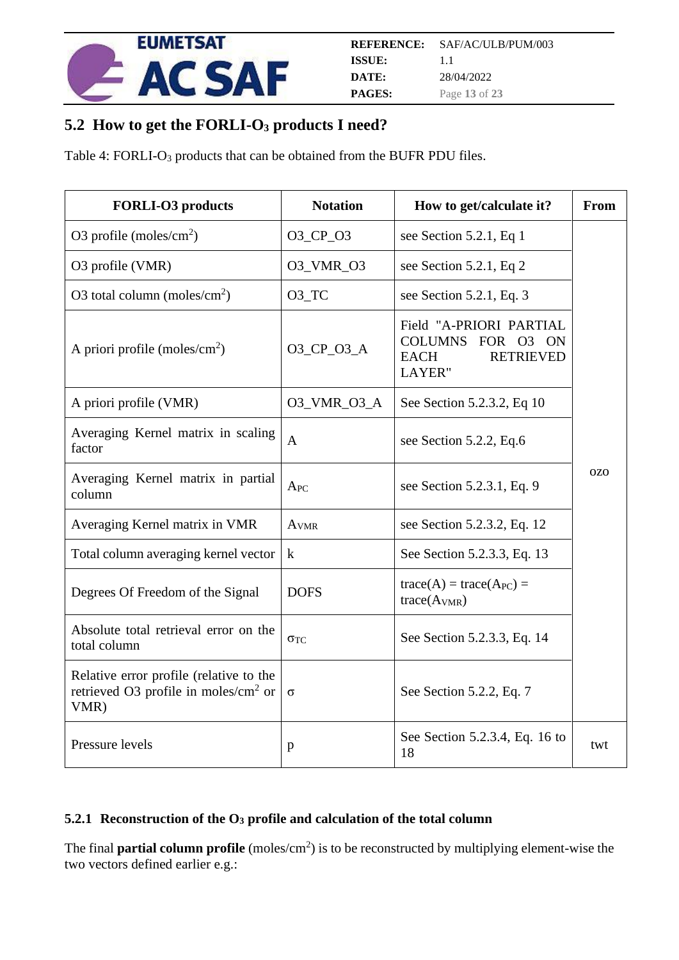

## <span id="page-12-0"></span>**5.2 How to get the FORLI-O<sup>3</sup> products I need?**

Table 4: FORLI-O<sub>3</sub> products that can be obtained from the BUFR PDU files.

| <b>FORLI-O3</b> products                                                                           | <b>Notation</b>     | How to get/calculate it?                                                                                             | From       |
|----------------------------------------------------------------------------------------------------|---------------------|----------------------------------------------------------------------------------------------------------------------|------------|
| O3 profile (moles/ $\rm cm^2$ )                                                                    | 03_CP_03            | see Section 5.2.1, Eq 1                                                                                              |            |
| O3 profile (VMR)                                                                                   | O3_VMR_O3           | see Section 5.2.1, Eq 2                                                                                              |            |
| O3 total column (moles/ $\text{cm}^2$ )                                                            | $O3$ <sub>_TC</sub> | see Section 5.2.1, Eq. 3                                                                                             |            |
| A priori profile (moles/ $\text{cm}^2$ )                                                           | 03_CP_03_A          | Field "A-PRIORI PARTIAL<br><b>COLUMNS</b><br>FOR 03<br><b>ON</b><br><b>RETRIEVED</b><br><b>EACH</b><br><b>LAYER"</b> |            |
| A priori profile (VMR)                                                                             | 03_VMR_03_A         | See Section 5.2.3.2, Eq 10                                                                                           |            |
| Averaging Kernel matrix in scaling<br>factor                                                       | $\mathbf{A}$        | see Section 5.2.2, Eq.6                                                                                              |            |
| Averaging Kernel matrix in partial<br>column                                                       | $A_{PC}$            | see Section 5.2.3.1, Eq. 9                                                                                           | <b>OZO</b> |
| Averaging Kernel matrix in VMR                                                                     | AVMR                | see Section 5.2.3.2, Eq. 12                                                                                          |            |
| Total column averaging kernel vector                                                               | $\bf k$             | See Section 5.2.3.3, Eq. 13                                                                                          |            |
| Degrees Of Freedom of the Signal                                                                   | <b>DOFS</b>         | $trace(A) = trace(APC) =$<br>trace(A <sub>VMR</sub> )                                                                |            |
| Absolute total retrieval error on the<br>total column                                              | $\sigma_{TC}$       | See Section 5.2.3.3, Eq. 14                                                                                          |            |
| Relative error profile (relative to the<br>retrieved O3 profile in moles/ $\text{cm}^2$ or<br>VMR) | $\sigma$            | See Section 5.2.2, Eq. 7                                                                                             |            |
| Pressure levels                                                                                    | p                   | See Section 5.2.3.4, Eq. 16 to<br>18                                                                                 | twt        |

#### <span id="page-12-1"></span>**5.2.1 Reconstruction of the O<sup>3</sup> profile and calculation of the total column**

The final **partial column profile** (moles/cm<sup>2</sup>) is to be reconstructed by multiplying element-wise the two vectors defined earlier e.g.: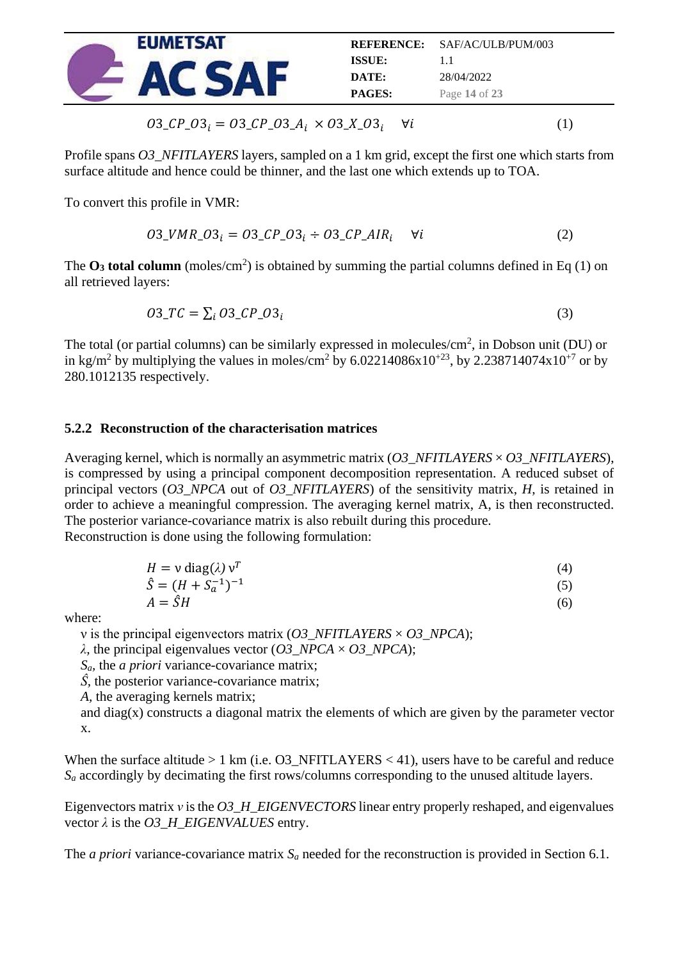

$$
03_C P_0 3_i = 03_C P_0 3_A i \times 03_X 03_i \quad \forall i
$$
 (1)

Profile spans *O3\_NFITLAYERS* layers, sampled on a 1 km grid, except the first one which starts from surface altitude and hence could be thinner, and the last one which extends up to TOA.

To convert this profile in VMR:

$$
03_VMR_{03_i} = 03_CP_{03_i} \div 03_CP_{AlR_i} \quad \forall i
$$
 (2)

The  $O_3$  **total column** (moles/cm<sup>2</sup>) is obtained by summing the partial columns defined in Eq (1) on all retrieved layers:

$$
03\_TC = \sum_{i} 03\_CP\_03_i \tag{3}
$$

The total (or partial columns) can be similarly expressed in molecules/ $cm<sup>2</sup>$ , in Dobson unit (DU) or in kg/m<sup>2</sup> by multiplying the values in moles/cm<sup>2</sup> by 6.02214086x10<sup>+23</sup>, by 2.238714074x10<sup>+7</sup> or by 280.1012135 respectively.

#### <span id="page-13-0"></span>**5.2.2 Reconstruction of the characterisation matrices**

Averaging kernel, which is normally an asymmetric matrix (*O3\_NFITLAYERS* × *O3\_NFITLAYERS*), is compressed by using a principal component decomposition representation. A reduced subset of principal vectors (*O3\_NPCA* out of *O3\_NFITLAYERS*) of the sensitivity matrix, *H*, is retained in order to achieve a meaningful compression. The averaging kernel matrix, A, is then reconstructed. The posterior variance-covariance matrix is also rebuilt during this procedure. Reconstruction is done using the following formulation:

$$
H = v \operatorname{diag}(\lambda) v^T \tag{4}
$$

$$
\hat{S} = (H + S_a^{-1})^{-1}
$$
 (5)

$$
A = \hat{S}H\tag{6}
$$

where:

ν is the principal eigenvectors matrix (*O3\_NFITLAYERS* × *O3\_NPCA*);

*λ,* the principal eigenvalues vector (*O3\_NPCA* × *O3\_NPCA*);

*Sa,* the *a priori* variance-covariance matrix;

*Ŝ,* the posterior variance-covariance matrix;

*A,* the averaging kernels matrix;

and diag(x) constructs a diagonal matrix the elements of which are given by the parameter vector x.

When the surface altitude  $> 1$  km (i.e. O3\_NFITLAYERS < 41), users have to be careful and reduce *S<sup>a</sup>* accordingly by decimating the first rows/columns corresponding to the unused altitude layers.

Eigenvectors matrix *ν* is the *O3\_H\_EIGENVECTORS* linear entry properly reshaped, and eigenvalues vector *λ* is the *O3\_H\_EIGENVALUES* entry.

The *a priori* variance-covariance matrix  $S_a$  needed for the reconstruction is provided in Section [6.1.](#page-18-1)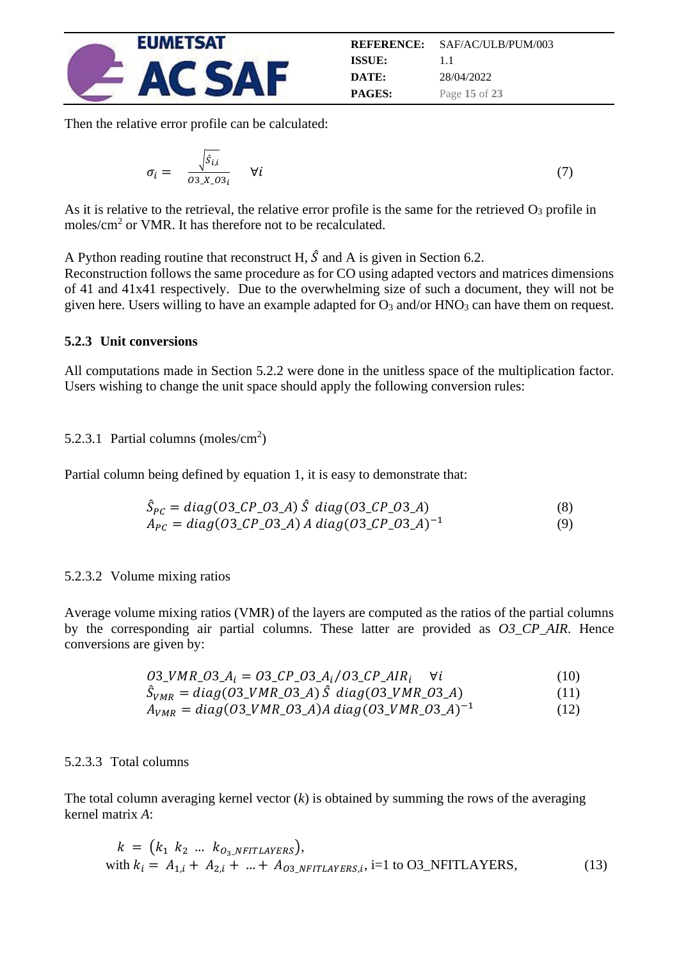

|               | <b>REFERENCE:</b> SAF/AC/ULB/PUM/003 |
|---------------|--------------------------------------|
| ISSUE:        | 11                                   |
| DATE:         | 28/04/2022                           |
| <b>PAGES:</b> | Page 15 of 23                        |

Then the relative error profile can be calculated:

$$
\sigma_i = \frac{\sqrt{\hat{s}_{i,i}}}{\sigma_{3} x_{\text{I}} \sigma_{3i}} \quad \forall i
$$
\n(7)

As it is relative to the retrieval, the relative error profile is the same for the retrieved  $O_3$  profile in moles/cm<sup>2</sup> or VMR. It has therefore not to be recalculated.

A Python reading routine that reconstruct H,  $\hat{S}$  and A is given in Section 6.2.

Reconstruction follows the same procedure as for CO using adapted vectors and matrices dimensions of 41 and 41x41 respectively. Due to the overwhelming size of such a document, they will not be given here. Users willing to have an example adapted for  $O_3$  and/or  $HNO_3$  can have them on request.

#### <span id="page-14-0"></span>**5.2.3 Unit conversions**

All computations made in Section [5.2.2](#page-13-0) were done in the unitless space of the multiplication factor. Users wishing to change the unit space should apply the following conversion rules:

#### <span id="page-14-2"></span>5.2.3.1 Partial columns (moles/cm<sup>2</sup>)

Partial column being defined by equation 1, it is easy to demonstrate that:

$$
\hat{S}_{PC} = diag(03\_CP\_03\_A) \hat{S} diag(03\_CP\_03\_A)
$$
\n(8)

$$
A_{PC} = diag(03\_CP\_03\_A) A diag(03\_CP\_03\_A)^{-1}
$$
 (9)

#### <span id="page-14-1"></span>5.2.3.2 Volume mixing ratios

Average volume mixing ratios (VMR) of the layers are computed as the ratios of the partial columns by the corresponding air partial columns. These latter are provided as *O3\_CP\_AIR*. Hence conversions are given by:

$$
03\_VMR\_03\_A_i = 03\_CP\_03\_A_i / 03\_CP\_AIR_i \quad \forall i
$$
 (10)

$$
\hat{S}_{VMR} = diag(03_VMR_03_A) \hat{S} diag(03_VMR_03_A)
$$
 (11)

$$
A_{VMR} = diag(03_VMR_03_A)A diag(03_VMR_03_A)^{-1}
$$
 (12)

#### <span id="page-14-3"></span>5.2.3.3 Total columns

The total column averaging kernel vector (*k*) is obtained by summing the rows of the averaging kernel matrix *A*:

$$
k = (k_1 \ k_2 \ \dots \ k_{O_3 \_ NFITLAYERS}),
$$
  
with  $k_i = A_{1,i} + A_{2,i} + ... + A_{O_3 \_ NFITLAYERS,i}, i=1 \text{ to O3_NFITLAYERS},$  (13)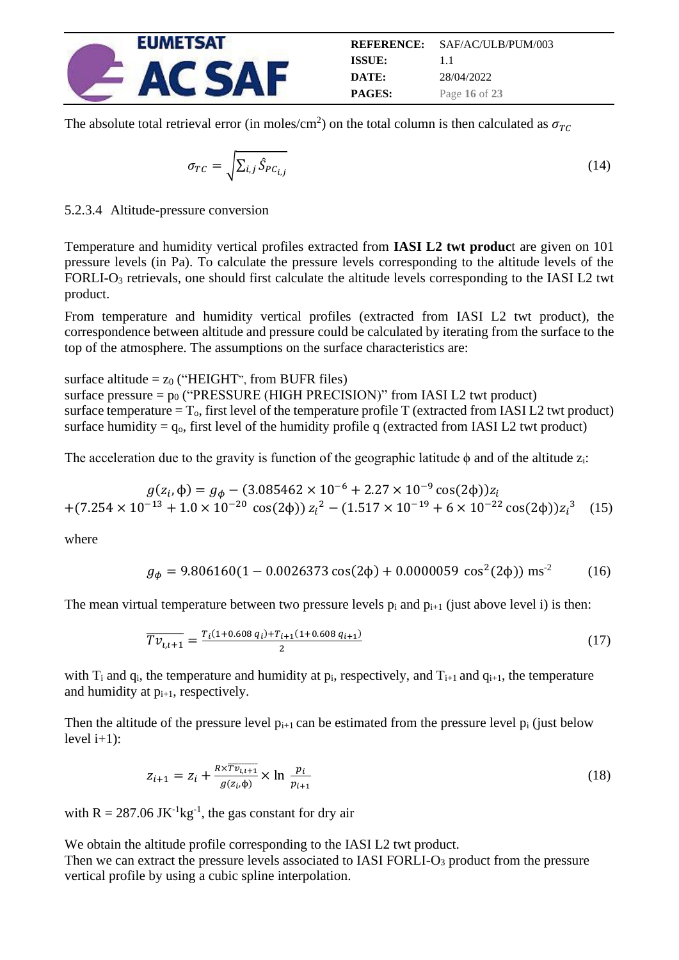

The absolute total retrieval error (in moles/cm<sup>2</sup>) on the total column is then calculated as  $\sigma_{TC}$ 

$$
\sigma_{TC} = \sqrt{\sum_{i,j} \hat{S}_{PC_{i,j}}}
$$
\n(14)

<span id="page-15-0"></span>5.2.3.4 Altitude-pressure conversion

Temperature and humidity vertical profiles extracted from **IASI L2 twt produc**t are given on 101 pressure levels (in Pa). To calculate the pressure levels corresponding to the altitude levels of the FORLI-O<sub>3</sub> retrievals, one should first calculate the altitude levels corresponding to the IASI L2 twt product.

From temperature and humidity vertical profiles (extracted from IASI L2 twt product), the correspondence between altitude and pressure could be calculated by iterating from the surface to the top of the atmosphere. The assumptions on the surface characteristics are:

surface altitude =  $z_0$  ("HEIGHT", from BUFR files)

surface pressure  $= p_0$  ("PRESSURE (HIGH PRECISION)" from IASI L2 twt product) surface temperature  $T_0$ , first level of the temperature profile T (extracted from IASI L2 twt product) surface humidity =  $q_0$ , first level of the humidity profile q (extracted from IASI L2 twt product)

The acceleration due to the gravity is function of the geographic latitude  $\phi$  and of the altitude  $z_i$ :

$$
g(z_i, \phi) = g_{\phi} - (3.085462 \times 10^{-6} + 2.27 \times 10^{-9} \cos(2\phi))z_i
$$
  
+
$$
(7.254 \times 10^{-13} + 1.0 \times 10^{-20} \cos(2\phi))z_i^2 - (1.517 \times 10^{-19} + 6 \times 10^{-22} \cos(2\phi))z_i^3
$$
 (15)

where

$$
g_{\phi} = 9.806160(1 - 0.0026373 \cos(2\phi) + 0.0000059 \cos^{2}(2\phi)) \text{ ms}^{-2}
$$
 (16)

The mean virtual temperature between two pressure levels  $p_i$  and  $p_{i+1}$  (just above level i) is then:

$$
\overline{Tv_{i,i+1}} = \frac{r_i(1+0.608 q_i) + r_{i+1}(1+0.608 q_{i+1})}{2}
$$
\n(17)

with  $T_i$  and  $q_i$ , the temperature and humidity at  $p_i$ , respectively, and  $T_{i+1}$  and  $q_{i+1}$ , the temperature and humidity at  $p_{i+1}$ , respectively.

Then the altitude of the pressure level  $p_{i+1}$  can be estimated from the pressure level  $p_i$  (just below level  $i+1$ :

$$
z_{i+1} = z_i + \frac{R \times \overline{T v_{i,i+1}}}{g(z_i, \phi)} \times \ln \frac{p_i}{p_{i+1}}
$$
\n
$$
(18)
$$

with  $R = 287.06$  JK<sup>-1</sup>kg<sup>-1</sup>, the gas constant for dry air

We obtain the altitude profile corresponding to the IASI L2 twt product.

Then we can extract the pressure levels associated to IASI FORLI-O<sub>3</sub> product from the pressure vertical profile by using a cubic spline interpolation.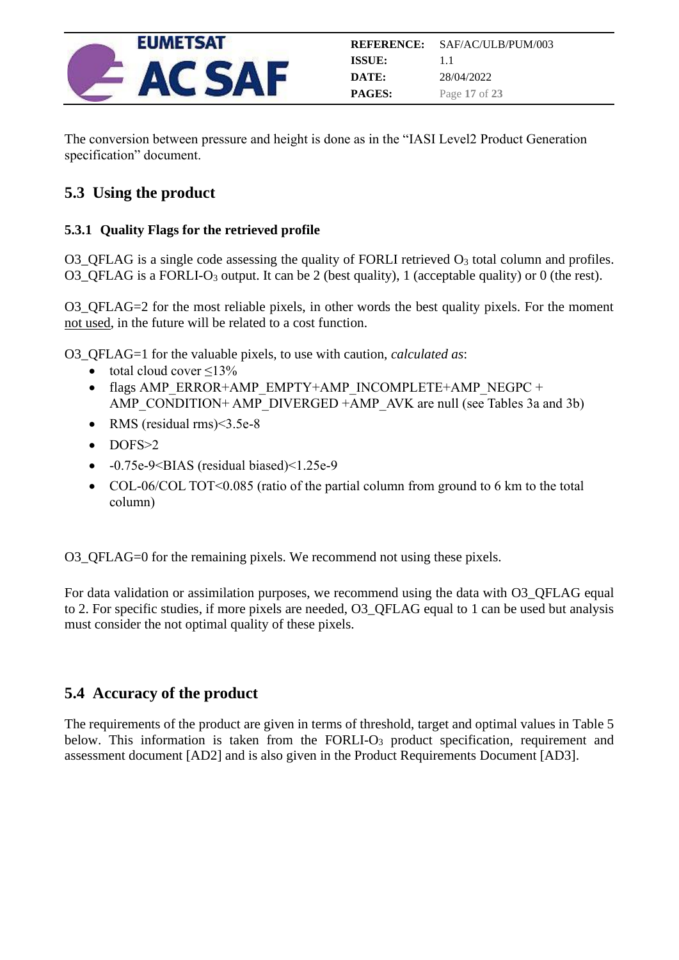

The conversion between pressure and height is done as in the "IASI Level2 Product Generation specification" document.

## <span id="page-16-0"></span>**5.3 Using the product**

#### <span id="page-16-1"></span>**5.3.1 Quality Flags for the retrieved profile**

O3\_QFLAG is a single code assessing the quality of FORLI retrieved  $O_3$  total column and profiles. O3\_QFLAG is a FORLI-O<sup>3</sup> output. It can be 2 (best quality), 1 (acceptable quality) or 0 (the rest).

O3 OFLAG=2 for the most reliable pixels, in other words the best quality pixels. For the moment not used, in the future will be related to a cost function.

O3\_QFLAG=1 for the valuable pixels, to use with caution, *calculated as*:

- total cloud cover  $\leq$ 13%
- flags AMP\_ERROR+AMP\_EMPTY+AMP\_INCOMPLETE+AMP\_NEGPC + AMP\_CONDITION+ AMP\_DIVERGED +AMP\_AVK are null (see Tables 3a and 3b)
- RMS (residual rms)<3.5e-8
- DOFS>2
- -0.75e-9<BIAS (residual biased)<1.25e-9
- COL-06/COL TOT< $0.085$  (ratio of the partial column from ground to 6 km to the total column)

O3\_QFLAG=0 for the remaining pixels. We recommend not using these pixels.

For data validation or assimilation purposes, we recommend using the data with O3\_QFLAG equal to 2. For specific studies, if more pixels are needed, O3\_QFLAG equal to 1 can be used but analysis must consider the not optimal quality of these pixels.

## <span id="page-16-2"></span>**5.4 Accuracy of the product**

The requirements of the product are given in terms of threshold, target and optimal values in Table 5 below. This information is taken from the FORLI-O<sub>3</sub> product specification, requirement and assessment document [AD2] and is also given in the Product Requirements Document [AD3].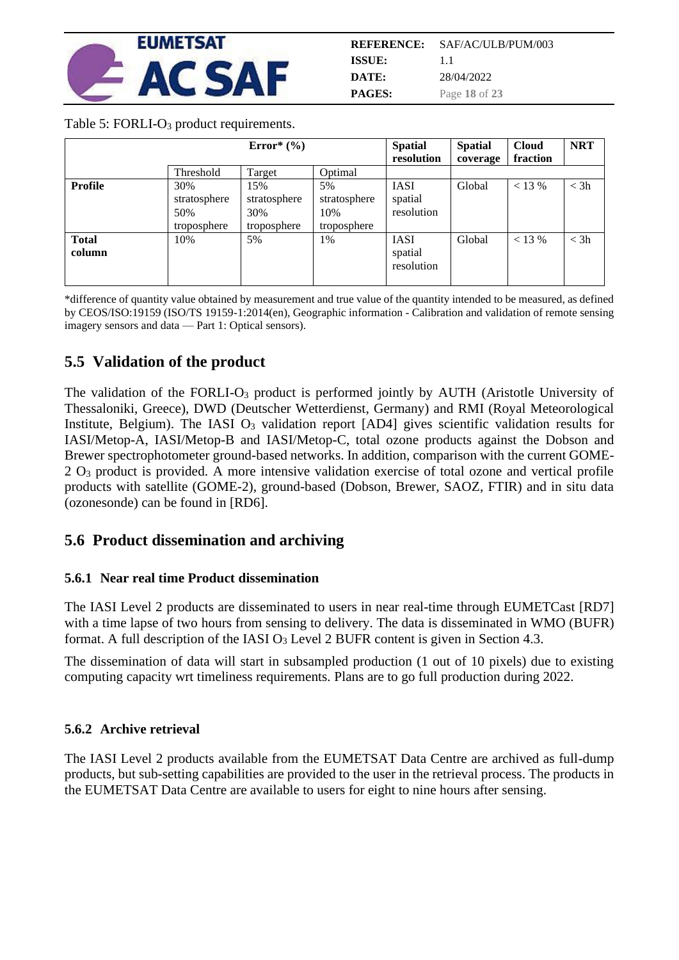

| REFERENCE:    | SAF/AC/ULB/PUM/003 |
|---------------|--------------------|
| ISSUE:        | 11                 |
| DATE:         | 28/04/2022         |
| <b>PAGES:</b> | Page 18 of 23      |

#### Table 5: FORLI-O<sub>3</sub> product requirements.

|                        |                                           | Error $*(\%)$                             |                                          | <b>Spatial</b>                       | <b>Spatial</b> | <b>Cloud</b> | <b>NRT</b> |
|------------------------|-------------------------------------------|-------------------------------------------|------------------------------------------|--------------------------------------|----------------|--------------|------------|
|                        |                                           |                                           |                                          | resolution                           | coverage       | fraction     |            |
|                        | Threshold                                 | Target                                    | Optimal                                  |                                      |                |              |            |
| Profile                | 30%<br>stratosphere<br>50%<br>troposphere | 15%<br>stratosphere<br>30%<br>troposphere | 5%<br>stratosphere<br>10%<br>troposphere | <b>IASI</b><br>spatial<br>resolution | Global         | < 13 %       | $<$ 3h     |
| <b>Total</b><br>column | 10%                                       | 5%                                        | 1%                                       | <b>IASI</b><br>spatial<br>resolution | Global         | < 13 %       | $<$ 3h     |

\*difference of quantity value obtained by measurement and true value of the quantity intended to be measured, as defined by CEOS/ISO:19159 (ISO/TS 19159-1:2014(en), Geographic information - Calibration and validation of remote sensing imagery sensors and data — Part 1: Optical sensors).

## <span id="page-17-0"></span>**5.5 Validation of the product**

The validation of the FORLI-O<sub>3</sub> product is performed jointly by AUTH (Aristotle University of Thessaloniki, Greece), DWD (Deutscher Wetterdienst, Germany) and RMI (Royal Meteorological Institute, Belgium). The IASI O<sub>3</sub> validation report [AD4] gives scientific validation results for IASI/Metop-A, IASI/Metop-B and IASI/Metop-C, total ozone products against the Dobson and Brewer spectrophotometer ground-based networks. In addition, comparison with the current GOME-2 O<sup>3</sup> product is provided. A more intensive validation exercise of total ozone and vertical profile products with satellite (GOME-2), ground-based (Dobson, Brewer, SAOZ, FTIR) and in situ data (ozonesonde) can be found in [RD6].

## <span id="page-17-1"></span>**5.6 Product dissemination and archiving**

#### <span id="page-17-2"></span>**5.6.1 Near real time Product dissemination**

The IASI Level 2 products are disseminated to users in near real-time through EUMETCast [RD7] with a time lapse of two hours from sensing to delivery. The data is disseminated in WMO (BUFR) format. A full description of the IASI O<sub>3</sub> Level 2 BUFR content is given in Section [4.3.](#page-7-3)

The dissemination of data will start in subsampled production (1 out of 10 pixels) due to existing computing capacity wrt timeliness requirements. Plans are to go full production during 2022.

#### <span id="page-17-3"></span>**5.6.2 Archive retrieval**

The IASI Level 2 products available from the EUMETSAT Data Centre are archived as full-dump products, but sub-setting capabilities are provided to the user in the retrieval process. The products in the EUMETSAT Data Centre are available to users for eight to nine hours after sensing.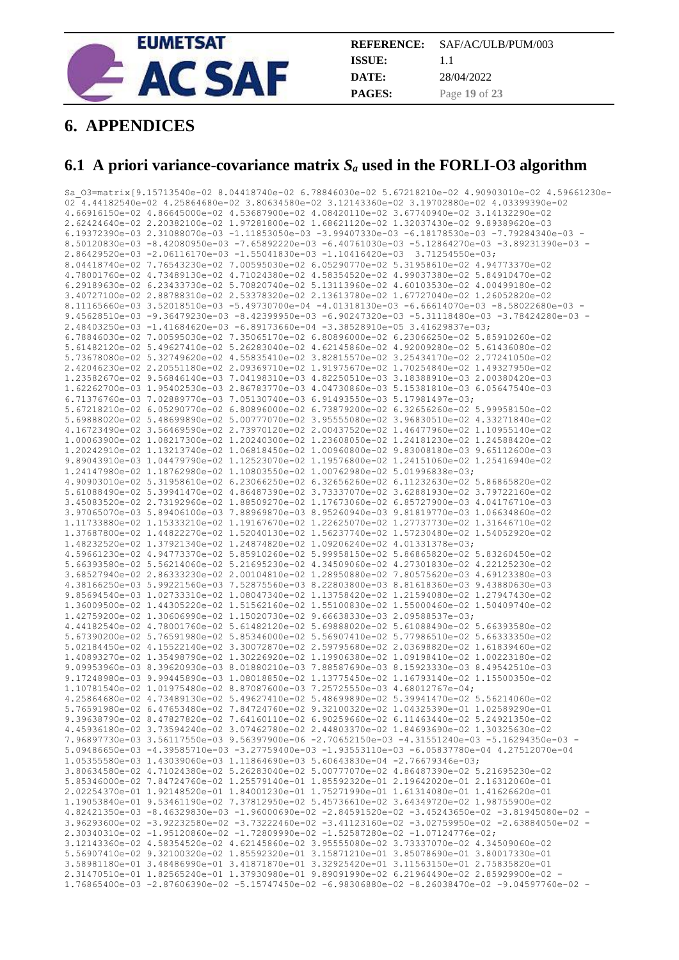

|               | <b>REFERENCE:</b> SAF/AC/ULB/PUM/003 |
|---------------|--------------------------------------|
| ISSUE:        | 11                                   |
| DATE:         | 28/04/2022                           |
| <b>PAGES:</b> | Page 19 of 23                        |

## <span id="page-18-0"></span>**6. APPENDICES**

### <span id="page-18-1"></span>**6.1 A priori variance-covariance matrix** *S<sup>a</sup>* **used in the FORLI-O3 algorithm**

Sa\_O3=matrix[9.15713540e-02 8.04418740e-02 6.78846030e-02 5.67218210e-02 4.90903010e-02 4.59661230e-02 4.44182540e-02 4.25864680e-02 3.80634580e-02 3.12143360e-02 3.19702880e-02 4.03399390e-02 4.66916150e-02 4.86645000e-02 4.53687900e-02 4.08420110e-02 3.67740940e-02 3.14132290e-02 2.62424640e-02 2.20382100e-02 1.97281800e-02 1.68621120e-02 1.32037430e-02 9.89389620e-03 6.19372390e-03 2.31088070e-03 -1.11853050e-03 -3.99407330e-03 -6.18178530e-03 -7.79284340e-03 - 8.50120830e-03 -8.42080950e-03 -7.65892220e-03 -6.40761030e-03 -5.12864270e-03 -3.89231390e-03 - 2.86429520e-03 -2.06116170e-03 -1.55041830e-03 -1.10416420e-03 3.71254550e-03; 8.04418740e-02 7.76543230e-02 7.00595030e-02 6.05290770e-02 5.31958610e-02 4.94773370e-02 4.78001760e-02 4.73489130e-02 4.71024380e-02 4.58354520e-02 4.99037380e-02 5.84910470e-02 6.29189630e-02 6.23433730e-02 5.70820740e-02 5.13113960e-02 4.60103530e-02 4.00499180e-02 3.40727100e-02 2.88788310e-02 2.53378320e-02 2.13613780e-02 1.67727040e-02 1.26052820e-02 8.11165660e-03 3.52018510e-03 -5.49730700e-04 -4.01318130e-03 -6.66614070e-03 -8.58022680e-03 - 9.45628510e-03 -9.36479230e-03 -8.42399950e-03 -6.90247320e-03 -5.31118480e-03 -3.78424280e-03 - 2.48403250e-03 -1.41684620e-03 -6.89173660e-04 -3.38528910e-05 3.41629837e-03; 6.78846030e-02 7.00595030e-02 7.35065170e-02 6.80896000e-02 6.23066250e-02 5.85910260e-02 5.61482120e-02 5.49627410e-02 5.26283040e-02 4.62145860e-02 4.92009280e-02 5.61436080e-02 5.73678080e-02 5.32749620e-02 4.55835410e-02 3.82815570e-02 3.25434170e-02 2.77241050e-02 2.42046230e-02 2.20551180e-02 2.09369710e-02 1.91975670e-02 1.70254840e-02 1.49327950e-02 1.23582670e-02 9.56846140e-03 7.04198310e-03 4.82250510e-03 3.18388910e-03 2.00380420e-03 1.62262700e-03 1.95402530e-03 2.86783770e-03 4.04730860e-03 5.15381810e-03 6.05647540e-03 6.71376760e-03 7.02889770e-03 7.05130740e-03 6.91493550e-03 5.17981497e-03; 5.67218210e-02 6.05290770e-02 6.80896000e-02 6.73879200e-02 6.32656260e-02 5.99958150e-02 5.69888020e-02 5.48699890e-02 5.00777070e-02 3.95555080e-02 3.96830510e-02 4.33271840e-02 4.16723490e-02 3.56469590e-02 2.73970120e-02 2.00437520e-02 1.46477960e-02 1.10955140e-02 1.00063900e-02 1.08217300e-02 1.20240300e-02 1.23608050e-02 1.24181230e-02 1.24588420e-02 1.20242910e-02 1.13213740e-02 1.06818450e-02 1.00960800e-02 9.83008180e-03 9.65112600e-03 9.89043910e-03 1.04479790e-02 1.12523070e-02 1.19576800e-02 1.24151060e-02 1.25416940e-02 1.24147980e-02 1.18762980e-02 1.10803550e-02 1.00762980e-02 5.01996838e-03; 4.90903010e-02 5.31958610e-02 6.23066250e-02 6.32656260e-02 6.11232630e-02 5.86865820e-02 5.61088490e-02 5.39941470e-02 4.86487390e-02 3.73337070e-02 3.62881930e-02 3.79722160e-02 3.45083520e-02 2.73192960e-02 1.88509270e-02 1.17673060e-02 6.85727900e-03 4.04176710e-03 3.97065070e-03 5.89406100e-03 7.88969870e-03 8.95260940e-03 9.81819770e-03 1.06634860e-02 1.11733880e-02 1.15333210e-02 1.19167670e-02 1.22625070e-02 1.27737730e-02 1.31646710e-02 1.37687800e-02 1.44822270e-02 1.52040130e-02 1.56237740e-02 1.57230480e-02 1.54052920e-02 1.48232520e-02 1.37921340e-02 1.24874820e-02 1.09206240e-02 4.01331378e-03; 4.59661230e-02 4.94773370e-02 5.85910260e-02 5.99958150e-02 5.86865820e-02 5.83260450e-02 5.66393580e-02 5.56214060e-02 5.21695230e-02 4.34509060e-02 4.27301830e-02 4.22125230e-02 3.68527940e-02 2.86333230e-02 2.00104810e-02 1.28950880e-02 7.80575620e-03 4.69123380e-03 4.38166250e-03 5.99221560e-03 7.52875560e-03 8.22803800e-03 8.81618360e-03 9.43880630e-03 9.85694540e-03 1.02733310e-02 1.08047340e-02 1.13758420e-02 1.21594080e-02 1.27947430e-02 1.36009500e-02 1.44305220e-02 1.51562160e-02 1.55100830e-02 1.55000460e-02 1.50409740e-02 1.42759200e-02 1.30606990e-02 1.15020730e-02 9.66638330e-03 2.09588537e-03; 4.44182540e-02 4.78001760e-02 5.61482120e-02 5.69888020e-02 5.61088490e-02 5.66393580e-02 5.67390200e-02 5.76591980e-02 5.85346000e-02 5.56907410e-02 5.77986510e-02 5.66333350e-02 5.02184450e-02 4.15522140e-02 3.30072870e-02 2.59795680e-02 2.03698820e-02 1.61839460e-02 1.40893270e-02 1.35498790e-02 1.30226920e-02 1.19906380e-02 1.09198410e-02 1.00223180e-02 9.09953960e-03 8.39620930e-03 8.01880210e-03 7.88587690e-03 8.15923330e-03 8.49542510e-03 9.17248980e-03 9.99445890e-03 1.08018850e-02 1.13775450e-02 1.16793140e-02 1.15500350e-02 1.10781540e-02 1.01975480e-02 8.87087600e-03 7.25725550e-03 4.68012767e-04; 4.25864680e-02 4.73489130e-02 5.49627410e-02 5.48699890e-02 5.39941470e-02 5.56214060e-02 5.76591980e-02 6.47653480e-02 7.84724760e-02 9.32100320e-02 1.04325390e-01 1.02589290e-01 9.39638790e-02 8.47827820e-02 7.64160110e-02 6.90259660e-02 6.11463440e-02 5.24921350e-02 4.45936180e-02 3.73594240e-02 3.07462780e-02 2.44803370e-02 1.84693690e-02 1.30325630e-02 7.96897730e-03 3.56117550e-03 9.56397900e-06 -2.70652150e-03 -4.31551240e-03 -5.16294350e-03 - 5.09486650e-03 -4.39585710e-03 -3.27759400e-03 -1.93553110e-03 -6.05837780e-04 4.27512070e-04 1.05355580e-03 1.43039060e-03 1.11864690e-03 5.60643830e-04 -2.76679346e-03; 3.80634580e-02 4.71024380e-02 5.26283040e-02 5.00777070e-02 4.86487390e-02 5.21695230e-02 5.85346000e-02 7.84724760e-02 1.25579140e-01 1.85592320e-01 2.19642020e-01 2.16312060e-01 2.02254370e-01 1.92148520e-01 1.84001230e-01 1.75271990e-01 1.61314080e-01 1.41626620e-01 1.19053840e-01 9.53461190e-02 7.37812950e-02 5.45736610e-02 3.64349720e-02 1.98755900e-02 4.82421350e-03 -8.46329830e-03 -1.96000690e-02 -2.84591520e-02 -3.45243650e-02 -3.81945080e-02 - 3.96293600e-02 -3.92232580e-02 -3.73222460e-02 -3.41123160e-02 -3.02759950e-02 -2.63884050e-02 - 2.30340310e-02 -1.95120860e-02 -1.72809990e-02 -1.52587280e-02 -1.07124776e-02; 3.12143360e-02 4.58354520e-02 4.62145860e-02 3.95555080e-02 3.73337070e-02 4.34509060e-02 5.56907410e-02 9.32100320e-02 1.85592320e-01 3.15871210e-01 3.85078690e-01 3.80017330e-01 3.58981180e-01 3.48486990e-01 3.41871870e-01 3.32925420e-01 3.11563150e-01 2.75835820e-01 2.31470510e-01 1.82565240e-01 1.37930980e-01 9.89091990e-02 6.21964490e-02 2.85929900e-02 - 1.76865400e-03 -2.87606390e-02 -5.15747450e-02 -6.98306880e-02 -8.26038470e-02 -9.04597760e-02 -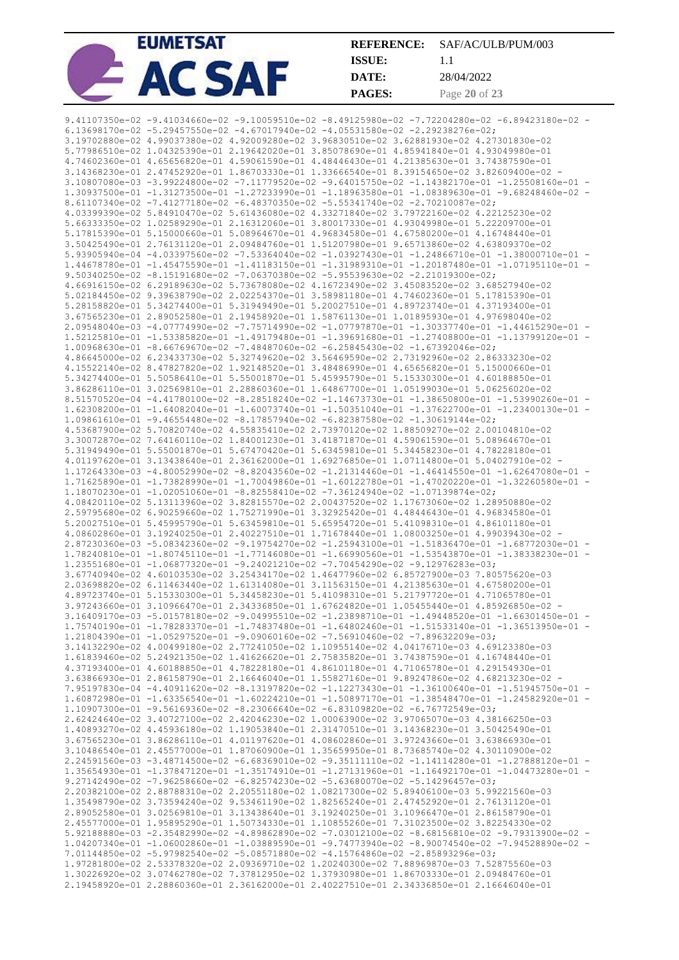| <b>EUMETSAT</b> |               | <b>REFERENCE:</b> SAF/AC/ULB/PUM/003 |
|-----------------|---------------|--------------------------------------|
|                 | <b>ISSUE:</b> |                                      |
|                 | DATE:         | 28/04/2022                           |
|                 | <b>PAGES:</b> | Page 20 of 23                        |

| 9.41107350e-02 -9.41034660e-02 -9.10059510e-02 -8.49125980e-02 -7.72204280e-02 -6.89423180e-02 - |  |
|--------------------------------------------------------------------------------------------------|--|
| 6.13698170e-02 -5.29457550e-02 -4.67017940e-02 -4.05531580e-02 -2.29238276e-02;                  |  |
| 3.19702880e-02 4.99037380e-02 4.92009280e-02 3.96830510e-02 3.62881930e-02 4.27301830e-02        |  |
| 5.77986510e-02 1.04325390e-01 2.19642020e-01 3.85078690e-01 4.85941840e-01 4.93049980e-01        |  |
|                                                                                                  |  |
| 4.74602360e-01 4.65656820e-01 4.59061590e-01 4.48446430e-01 4.21385630e-01 3.74387590e-01        |  |
| 3.14368230e-01 2.47452920e-01 1.86703330e-01 1.33666540e-01 8.39154650e-02 3.82609400e-02 -      |  |
| 3.10807080e-03 -3.99224800e-02 -7.11779520e-02 -9.64015750e-02 -1.14382170e-01 -1.25508160e-01 - |  |
| 1.30937500e-01 -1.31273500e-01 -1.27233990e-01 -1.18963580e-01 -1.08389630e-01 -9.68248460e-02 - |  |
|                                                                                                  |  |
| 8.61107340e-02 -7.41277180e-02 -6.48370350e-02 -5.55341740e-02 -2.70210087e-02;                  |  |
| 4.03399390e-02 5.84910470e-02 5.61436080e-02 4.33271840e-02 3.79722160e-02 4.22125230e-02        |  |
| 5.66333350e-02 1.02589290e-01 2.16312060e-01 3.80017330e-01 4.93049980e-01 5.22209700e-01        |  |
| 5.17815390e-01 5.15000660e-01 5.08964670e-01 4.96834580e-01 4.67580200e-01 4.16748440e-01        |  |
|                                                                                                  |  |
| 3.50425490e-01 2.76131120e-01 2.09484760e-01 1.51207980e-01 9.65713860e-02 4.63809370e-02        |  |
| 5.93905940e-04 -4.03397560e-02 -7.53364040e-02 -1.03927430e-01 -1.24866710e-01 -1.38000710e-01 - |  |
|                                                                                                  |  |
| $9.50340250e-02 -8.15191680e-02 -7.06370380e-02 -5.95539630e-02 -2.21019300e-02;$                |  |
| 4.66916150e-02 6.29189630e-02 5.73678080e-02 4.16723490e-02 3.45083520e-02 3.68527940e-02        |  |
|                                                                                                  |  |
| 5.02184450e-02 9.39638790e-02 2.02254370e-01 3.58981180e-01 4.74602360e-01 5.17815390e-01        |  |
| 5.28158820e-01 5.34274400e-01 5.31949490e-01 5.20027510e-01 4.89723740e-01 4.37193400e-01        |  |
| 3.67565230e-01 2.89052580e-01 2.19458920e-01 1.58761130e-01 1.01895930e-01 4.97698040e-02        |  |
| 2.09548040e-03 -4.07774990e-02 -7.75714990e-02 -1.07797870e-01 -1.30337740e-01 -1.44615290e-01 - |  |
| 1.52125810e-01 -1.53385820e-01 -1.49179480e-01 -1.39691680e-01 -1.27408800e-01 -1.13799120e-01 - |  |
| $1.00968630e-01 - 8.66769670e-02 -7.48487060e-02 -6.25845430e-02 -1.67392046e-02;$               |  |
|                                                                                                  |  |
| 4.86645000e-02 6.23433730e-02 5.32749620e-02 3.56469590e-02 2.73192960e-02 2.86333230e-02        |  |
| 4.15522140e-02 8.47827820e-02 1.92148520e-01 3.48486990e-01 4.65656820e-01 5.15000660e-01        |  |
| 5.34274400e-01 5.50586410e-01 5.55001870e-01 5.45995790e-01 5.15330300e-01 4.60188850e-01        |  |
| 3.86286110e-01 3.02569810e-01 2.28860360e-01 1.64867700e-01 1.05199030e-01 5.06256020e-02        |  |
| 8.51570520e-04 -4.41780100e-02 -8.28518240e-02 -1.14673730e-01 -1.38650800e-01 -1.53990260e-01 - |  |
|                                                                                                  |  |
| 1.62308200e-01 -1.64082040e-01 -1.60073740e-01 -1.50351040e-01 -1.37622700e-01 -1.23400130e-01 - |  |
| $1.09861610e-01 - 9.46554480e-02 - 8.17857940e-02 -6.82387580e-02 -1.30619144e-02;$              |  |
| 4.53687900e-02 5.70820740e-02 4.55835410e-02 2.73970120e-02 1.88509270e-02 2.00104810e-02        |  |
| 3.30072870e-02 7.64160110e-02 1.84001230e-01 3.41871870e-01 4.59061590e-01 5.08964670e-01        |  |
| 5.31949490e-01 5.55001870e-01 5.67470420e-01 5.63459810e-01 5.34458230e-01 4.78228180e-01        |  |
| 4.01197620e-01 3.13438640e-01 2.36162000e-01 1.69276850e-01 1.07114800e-01 5.04027910e-02 -      |  |
|                                                                                                  |  |
| 1.17264330e-03 -4.80052990e-02 -8.82043560e-02 -1.21314460e-01 -1.46414550e-01 -1.62647080e-01 - |  |
| 1.71625890e-01 -1.73828990e-01 -1.70049860e-01 -1.60122780e-01 -1.47020220e-01 -1.32260580e-01 - |  |
| 1.18070230e-01 -1.02051060e-01 -8.82558410e-02 -7.36124940e-02 -1.07139874e-02;                  |  |
| 4.08420110e-02 5.13113960e-02 3.82815570e-02 2.00437520e-02 1.17673060e-02 1.28950880e-02        |  |
| 2.59795680e-02 6.90259660e-02 1.75271990e-01 3.32925420e-01 4.48446430e-01 4.96834580e-01        |  |
| 5.20027510e-01 5.45995790e-01 5.63459810e-01 5.65954720e-01 5.41098310e-01 4.86101180e-01        |  |
|                                                                                                  |  |
| 4.08602860e-01 3.19240250e-01 2.40227510e-01 1.71678440e-01 1.08003250e-01 4.99039430e-02 -      |  |
| 2.87230360e-03 -5.08342360e-02 -9.19754270e-02 -1.25943100e-01 -1.51836470e-01 -1.68772030e-01 - |  |
| 1.78240810e-01 -1.80745110e-01 -1.77146080e-01 -1.66990560e-01 -1.53543870e-01 -1.38338230e-01 - |  |
| $1.23551680e-01$ -1.06877320e-01 -9.24021210e-02 -7.70454290e-02 -9.12976283e-03;                |  |
| 3.67740940e-02 4.60103530e-02 3.25434170e-02 1.46477960e-02 6.85727900e-03 7.80575620e-03        |  |
| 2.03698820e-02 6.11463440e-02 1.61314080e-01 3.11563150e-01 4.21385630e-01 4.67580200e-01        |  |
|                                                                                                  |  |
| 4.89723740e-01 5.15330300e-01 5.34458230e-01 5.41098310e-01 5.21797720e-01 4.71065780e-01        |  |
|                                                                                                  |  |
| 3.97243660e-01 3.10966470e-01 2.34336850e-01 1.67624820e-01 1.05455440e-01 4.85926850e-02 -      |  |
| 3.16409170e-03 -5.01578180e-02 -9.04995510e-02 -1.23898710e-01 -1.49448520e-01 -1.66301450e-01 - |  |
|                                                                                                  |  |
| 1.75740190e-01 -1.78283370e-01 -1.74837480e-01 -1.64802460e-01 -1.51533140e-01 -1.36513950e-01 - |  |
| $1.21804390e-01$ -1.05297520e-01 -9.09060160e-02 -7.56910460e-02 -7.89632209e-03;                |  |
| 3.14132290e-02 4.00499180e-02 2.77241050e-02 1.10955140e-02 4.04176710e-03 4.69123380e-03        |  |
| 1.61839460e-02 5.24921350e-02 1.41626620e-01 2.75835820e-01 3.74387590e-01 4.16748440e-01        |  |
| 4.37193400e-01 4.60188850e-01 4.78228180e-01 4.86101180e-01 4.71065780e-01 4.29154930e-01        |  |
| 3.63866930e-01 2.86158790e-01 2.16646040e-01 1.55827160e-01 9.89247860e-02 4.68213230e-02 -      |  |
|                                                                                                  |  |
| 7.95197830e-04 -4.40911620e-02 -8.13197820e-02 -1.12273430e-01 -1.36100640e-01 -1.51945750e-01 - |  |
| 1.60872980e-01 -1.63356540e-01 -1.60224210e-01 -1.50897170e-01 -1.38548470e-01 -1.24582920e-01 - |  |
| $1.10907300e-01 -9.56169360e-02 -8.23066640e-02 -6.83109820e-02 -6.76772549e-03;$                |  |
| 2.62424640e-02 3.40727100e-02 2.42046230e-02 1.00063900e-02 3.97065070e-03 4.38166250e-03        |  |
| 1.40893270e-02 4.45936180e-02 1.19053840e-01 2.31470510e-01 3.14368230e-01 3.50425490e-01        |  |
| 3.67565230e-01 3.86286110e-01 4.01197620e-01 4.08602860e-01 3.97243660e-01 3.63866930e-01        |  |
|                                                                                                  |  |
| 3.10486540e-01 2.45577000e-01 1.87060900e-01 1.35659950e-01 8.73685740e-02 4.30110900e-02        |  |
| 2.24591560e-03 -3.48714500e-02 -6.68369010e-02 -9.35111110e-02 -1.14114280e-01 -1.27888120e-01 - |  |
| 1.35654930e-01 -1.37847120e-01 -1.35174910e-01 -1.27131960e-01 -1.16492170e-01 -1.04473280e-01 - |  |
| 9.27142490e-02 -7.96258660e-02 -6.82574230e-02 -5.63680070e-02 -5.14296457e-03;                  |  |
| 2.20382100e-02 2.88788310e-02 2.20551180e-02 1.08217300e-02 5.89406100e-03 5.99221560e-03        |  |
| 1.35498790e-02 3.73594240e-02 9.53461190e-02 1.82565240e-01 2.47452920e-01 2.76131120e-01        |  |
| 2.89052580e-01 3.02569810e-01 3.13438640e-01 3.19240250e-01 3.10966470e-01 2.86158790e-01        |  |
|                                                                                                  |  |
| 2.45577000e-01 1.95895290e-01 1.50734330e-01 1.10855260e-01 7.31023500e-02 3.82254330e-02        |  |
| 5.92188880e-03 -2.35482990e-02 -4.89862890e-02 -7.03012100e-02 -8.68156810e-02 -9.79313900e-02 - |  |
| 1.04207340e-01 -1.06002860e-01 -1.03889590e-01 -9.74773940e-02 -8.90074540e-02 -7.94528890e-02 - |  |
| 7.01144850e-02 -5.97982540e-02 -5.08571880e-02 -4.15764860e-02 -2.85893296e-03;                  |  |
| 1.97281800e-02 2.53378320e-02 2.09369710e-02 1.20240300e-02 7.88969870e-03 7.52875560e-03        |  |
| 1.30226920e-02 3.07462780e-02 7.37812950e-02 1.37930980e-01 1.86703330e-01 2.09484760e-01        |  |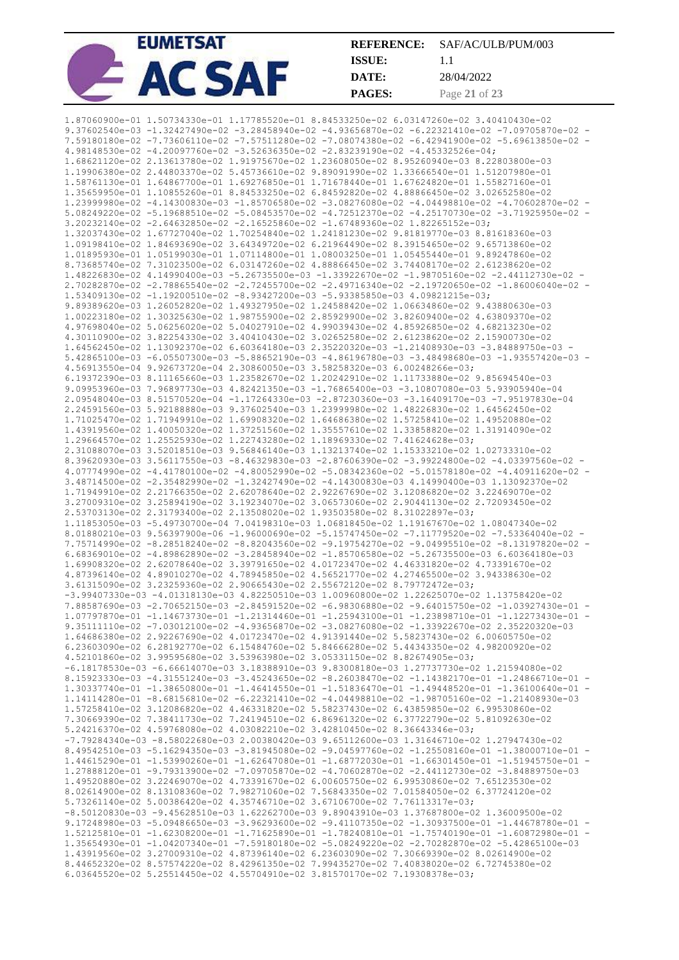| <b>EUMETSAT</b> | <b>REFERENCE:</b> | SAF/AC/ULB/PUM/003 |
|-----------------|-------------------|--------------------|
|                 | ISSUE:            |                    |
|                 | DATE:             | 28/04/2022         |
|                 | <b>PAGES:</b>     | Page 21 of 23      |

| 9.37602540e-03 -1.32427490e-02 -3.28458940e-02 -4.93656870e-02 -6.22321410e-02 -7.09705870e-02 -                                                                                                  |  |
|---------------------------------------------------------------------------------------------------------------------------------------------------------------------------------------------------|--|
|                                                                                                                                                                                                   |  |
| 7.59180180e-02 -7.73606110e-02 -7.57511280e-02 -7.08074380e-02 -6.42941900e-02 -5.69613850e-02 -                                                                                                  |  |
| 4.98148530e-02 -4.20097760e-02 -3.52636350e-02 -2.83239190e-02 -4.45332526e-04;                                                                                                                   |  |
| 1.68621120e-02 2.13613780e-02 1.91975670e-02 1.23608050e-02 8.95260940e-03 8.22803800e-03                                                                                                         |  |
| 1.19906380e-02 2.44803370e-02 5.45736610e-02 9.89091990e-02 1.33666540e-01 1.51207980e-01<br>1.58761130e-01 1.64867700e-01 1.69276850e-01 1.71678440e-01 1.67624820e-01 1.55827160e-01            |  |
| 1.35659950e-01 1.10855260e-01 8.84533250e-02 6.84592820e-02 4.88866450e-02 3.02652580e-02                                                                                                         |  |
| 1.23999980e-02 -4.14300830e-03 -1.85706580e-02 -3.08276080e-02 -4.04498810e-02 -4.70602870e-02 -                                                                                                  |  |
| 5.08249220e-02 -5.19688510e-02 -5.08453570e-02 -4.72512370e-02 -4.25170730e-02 -3.71925950e-02 -                                                                                                  |  |
| $3.20232140e-02$ -2.64632850e-02 -2.16525860e-02 -1.67489360e-02 1.82265152e-03;                                                                                                                  |  |
| 1.32037430e-02 1.67727040e-02 1.70254840e-02 1.24181230e-02 9.81819770e-03 8.81618360e-03                                                                                                         |  |
| 1.09198410e-02 1.84693690e-02 3.64349720e-02 6.21964490e-02 8.39154650e-02 9.65713860e-02                                                                                                         |  |
| 1.01895930e-01 1.05199030e-01 1.07114800e-01 1.08003250e-01 1.05455440e-01 9.89247860e-02                                                                                                         |  |
| 8.73685740e-02 7.31023500e-02 6.03147260e-02 4.88866450e-02 3.74408170e-02 2.61238620e-02                                                                                                         |  |
| 1.48226830e-02 4.14990400e-03 -5.26735500e-03 -1.33922670e-02 -1.98705160e-02 -2.44112730e-02 -                                                                                                   |  |
| 2.70282870e-02 -2.78865540e-02 -2.72455700e-02 -2.49716340e-02 -2.19720650e-02 -1.86006040e-02 -                                                                                                  |  |
| 1.53409130e-02 -1.19200510e-02 -8.93427200e-03 -5.93385850e-03 4.09821215e-03;                                                                                                                    |  |
| 9.89389620e-03 1.26052820e-02 1.49327950e-02 1.24588420e-02 1.06634860e-02 9.43880630e-03                                                                                                         |  |
| 1.00223180e-02 1.30325630e-02 1.98755900e-02 2.85929900e-02 3.82609400e-02 4.63809370e-02                                                                                                         |  |
| 4.97698040e-02 5.06256020e-02 5.04027910e-02 4.99039430e-02 4.85926850e-02 4.68213230e-02                                                                                                         |  |
| 4.30110900e-02 3.82254330e-02 3.40410430e-02 3.02652580e-02 2.61238620e-02 2.15900730e-02                                                                                                         |  |
| 1.64562450e-02 1.13092370e-02 6.60364180e-03 2.35220320e-03 -1.21408930e-03 -3.84889750e-03 -                                                                                                     |  |
| 5.42865100e-03 -6.05507300e-03 -5.88652190e-03 -4.86196780e-03 -3.48498680e-03 -1.93557420e-03 -                                                                                                  |  |
| 4.56913550e-04 9.92673720e-04 2.30860050e-03 3.58258320e-03 6.00248266e-03;                                                                                                                       |  |
| 6.19372390e-03 8.11165660e-03 1.23582670e-02 1.20242910e-02 1.11733880e-02 9.85694540e-03                                                                                                         |  |
| 9.09953960e-03 7.96897730e-03 4.82421350e-03 -1.76865400e-03 -3.10807080e-03 5.93905940e-04                                                                                                       |  |
| 2.09548040e-03 8.51570520e-04 -1.17264330e-03 -2.87230360e-03 -3.16409170e-03 -7.95197830e-04                                                                                                     |  |
| 2.24591560e-03 5.92188880e-03 9.37602540e-03 1.23999980e-02 1.48226830e-02 1.64562450e-02                                                                                                         |  |
| 1.71025470e-02 1.71949910e-02 1.69908320e-02 1.64686380e-02 1.57258410e-02 1.49520880e-02                                                                                                         |  |
| 1.43919560e-02 1.40050320e-02 1.37251560e-02 1.35557610e-02 1.33858820e-02 1.31914090e-02                                                                                                         |  |
| 1.29664570e-02 1.25525930e-02 1.22743280e-02 1.18969330e-02 7.41624628e-03;                                                                                                                       |  |
| 2.31088070e-03 3.52018510e-03 9.56846140e-03 1.13213740e-02 1.15333210e-02 1.02733310e-02                                                                                                         |  |
| 8.39620930e-03 3.56117550e-03 -8.46329830e-03 -2.87606390e-02 -3.99224800e-02 -4.03397560e-02 -                                                                                                   |  |
| 4.07774990e-02 -4.41780100e-02 -4.80052990e-02 -5.08342360e-02 -5.01578180e-02 -4.40911620e-02 -<br>3.48714500e-02 -2.35482990e-02 -1.32427490e-02 -4.14300830e-03 4.14990400e-03 1.13092370e-02  |  |
| 1.71949910e-02 2.21766350e-02 2.62078640e-02 2.92267690e-02 3.12086820e-02 3.22469070e-02                                                                                                         |  |
| 3.27009310e-02 3.25894190e-02 3.19234070e-02 3.06573060e-02 2.90441130e-02 2.72093450e-02                                                                                                         |  |
|                                                                                                                                                                                                   |  |
|                                                                                                                                                                                                   |  |
| 2.53703130e-02 2.31793400e-02 2.13508020e-02 1.93503580e-02 8.31022897e-03;                                                                                                                       |  |
| 1.11853050e-03 -5.49730700e-04 7.04198310e-03 1.06818450e-02 1.19167670e-02 1.08047340e-02                                                                                                        |  |
| 8.01880210e-03 9.56397900e-06 -1.96000690e-02 -5.15747450e-02 -7.11779520e-02 -7.53364040e-02 -                                                                                                   |  |
| 7.75714990e-02 -8.28518240e-02 -8.82043560e-02 -9.19754270e-02 -9.04995510e-02 -8.13197820e-02 -<br>6.68369010e-02 -4.89862890e-02 -3.28458940e-02 -1.85706580e-02 -5.26735500e-03 6.60364180e-03 |  |
| 1.69908320e-02 2.62078640e-02 3.39791650e-02 4.01723470e-02 4.46331820e-02 4.73391670e-02                                                                                                         |  |
| 4.87396140e-02 4.89010270e-02 4.78945850e-02 4.56521770e-02 4.27465500e-02 3.94338630e-02                                                                                                         |  |
| 3.61315090e-02 3.23259360e-02 2.90665430e-02 2.55672120e-02 8.79772472e-03;                                                                                                                       |  |
| $-3.99407330e-03$ $-4.01318130e-03$ $4.82250510e-03$ $1.00960800e-02$ $1.22625070e-02$ $1.13758420e-02$                                                                                           |  |
| 7.88587690e-03 -2.70652150e-03 -2.84591520e-02 -6.98306880e-02 -9.64015750e-02 -1.03927430e-01 -                                                                                                  |  |
| 1.07797870e-01 -1.14673730e-01 -1.21314460e-01 -1.25943100e-01 -1.23898710e-01 -1.12273430e-01 -                                                                                                  |  |
| 9.35111110e-02 -7.03012100e-02 -4.93656870e-02 -3.08276080e-02 -1.33922670e-02 2.35220320e-03                                                                                                     |  |
| 1.64686380e-02 2.92267690e-02 4.01723470e-02 4.91391440e-02 5.58237430e-02 6.00605750e-02                                                                                                         |  |
| 6.23603090e-02 6.28192770e-02 6.15484760e-02 5.84666280e-02 5.44343350e-02 4.98200920e-02                                                                                                         |  |
| 4.52101860e-02 3.99595680e-02 3.53963980e-02 3.05331150e-02 8.82674905e-03;                                                                                                                       |  |
| $-6.18178530e-03 -6.66614070e-03$ 3.18388910e-03 9.83008180e-03 1.27737730e-02 1.21594080e-02                                                                                                     |  |
| 8.15923330e-03 -4.31551240e-03 -3.45243650e-02 -8.26038470e-02 -1.14382170e-01 -1.24866710e-01 -                                                                                                  |  |
| 1.30337740e-01 -1.38650800e-01 -1.46414550e-01 -1.51836470e-01 -1.49448520e-01 -1.36100640e-01 -                                                                                                  |  |
| 1.14114280e-01 -8.68156810e-02 -6.22321410e-02 -4.04498810e-02 -1.98705160e-02 -1.21408930e-03                                                                                                    |  |
| 1.57258410e-02 3.12086820e-02 4.46331820e-02 5.58237430e-02 6.43859850e-02 6.99530860e-02                                                                                                         |  |
| 7.30669390e-02 7.38411730e-02 7.24194510e-02 6.86961320e-02 6.37722790e-02 5.81092630e-02                                                                                                         |  |
| 5.24216370e-02 4.59768080e-02 4.03082210e-02 3.42810450e-02 8.36643346e-03;                                                                                                                       |  |
| $-7.79284340e-03$ $-8.58022680e-03$ 2.00380420e-03 9.65112600e-03 1.31646710e-02 1.27947430e-02                                                                                                   |  |
| 8.49542510e-03 -5.16294350e-03 -3.81945080e-02 -9.04597760e-02 -1.25508160e-01 -1.38000710e-01 -                                                                                                  |  |
| 1.44615290e-01 -1.53990260e-01 -1.62647080e-01 -1.68772030e-01 -1.66301450e-01 -1.51945750e-01 -                                                                                                  |  |
| 1.27888120e-01 -9.79313900e-02 -7.09705870e-02 -4.70602870e-02 -2.44112730e-02 -3.84889750e-03                                                                                                    |  |
| 1.49520880e-02 3.22469070e-02 4.73391670e-02 6.00605750e-02 6.99530860e-02 7.65123530e-02<br>8.02614900e-02 8.13108360e-02 7.98271060e-02 7.56843350e-02 7.01584050e-02 6.37724120e-02            |  |
| 5.73261140e-02 5.00386420e-02 4.35746710e-02 3.67106700e-02 7.76113317e-03;                                                                                                                       |  |
| $-8.50120830e-03$ $-9.45628510e-03$ $1.62262700e-03$ $9.89043910e-03$ $1.37687800e-02$ $1.36009500e-02$                                                                                           |  |
| 9.17248980e-03 -5.09486650e-03 -3.96293600e-02 -9.41107350e-02 -1.30937500e-01 -1.44678780e-01 -                                                                                                  |  |
| 1.52125810e-01 -1.62308200e-01 -1.71625890e-01 -1.78240810e-01 -1.75740190e-01 -1.60872980e-01 -                                                                                                  |  |
| 1.35654930e-01 -1.04207340e-01 -7.59180180e-02 -5.08249220e-02 -2.70282870e-02 -5.42865100e-03                                                                                                    |  |
| 1.43919560e-02 3.27009310e-02 4.87396140e-02 6.23603090e-02 7.30669390e-02 8.02614900e-02                                                                                                         |  |
| 8.44652320e-02 8.57574220e-02 8.42961350e-02 7.99435270e-02 7.40838020e-02 6.72745380e-02                                                                                                         |  |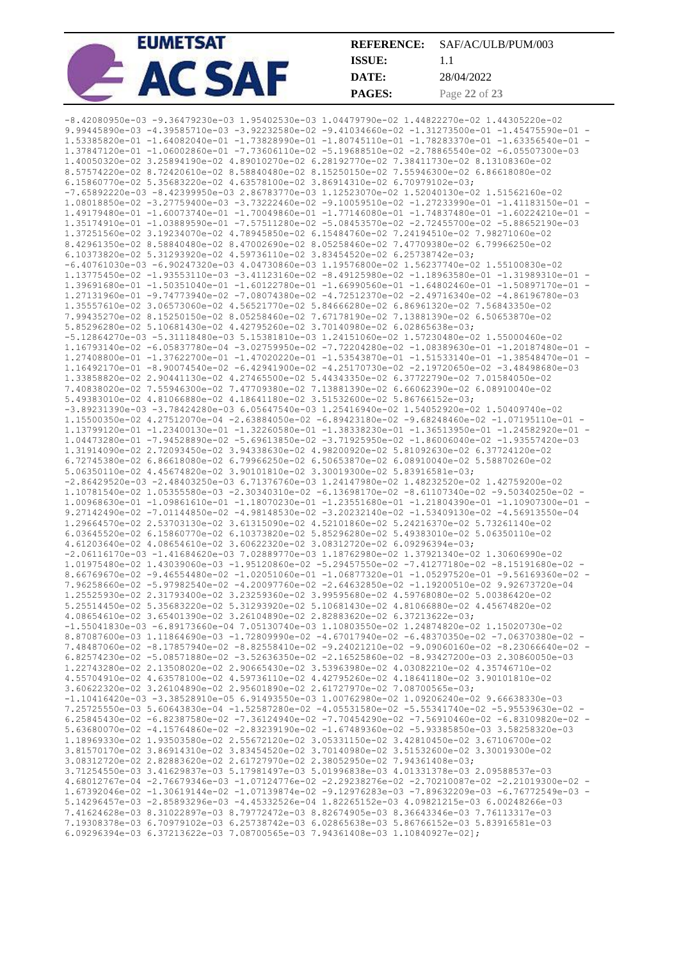|  | <b>EUMETSAT</b> | <b>REFERENCE:</b> | SAF/AC/ULB/PUM/003 |
|--|-----------------|-------------------|--------------------|
|  |                 | ISSUE:            |                    |
|  |                 | DATE:             | 28/04/2022         |
|  |                 | <b>PAGES:</b>     | Page 22 of 23      |

| $-8.42080950e-03 -9.36479230e-03$ 1.95402530e-03 1.04479790e-02 1.44822270e-02 1.44305220e-02<br>9.99445890e-03 -4.39585710e-03 -3.92232580e-02 -9.41034660e-02 -1.31273500e-01 -1.45475590e-01 - |  |
|---------------------------------------------------------------------------------------------------------------------------------------------------------------------------------------------------|--|
|                                                                                                                                                                                                   |  |
|                                                                                                                                                                                                   |  |
| 1.53385820e-01 -1.64082040e-01 -1.73828990e-01 -1.80745110e-01 -1.78283370e-01 -1.63356540e-01 -                                                                                                  |  |
|                                                                                                                                                                                                   |  |
| 1.37847120e-01 -1.06002860e-01 -7.73606110e-02 -5.19688510e-02 -2.78865540e-02 -6.05507300e-03                                                                                                    |  |
| 1.40050320e-02 3.25894190e-02 4.89010270e-02 6.28192770e-02 7.38411730e-02 8.13108360e-02                                                                                                         |  |
| 8.57574220e-02 8.72420610e-02 8.58840480e-02 8.15250150e-02 7.55946300e-02 6.86618080e-02                                                                                                         |  |
| 6.15860770e-02 5.35683220e-02 4.63578100e-02 3.86914310e-02 6.70979102e-03;                                                                                                                       |  |
| $-7.65892220e-03 -8.42399950e-03 2.86783770e-03 1.12523070e-02 1.52040130e-02 1.51562160e-02$                                                                                                     |  |
| 1.08018850e-02 -3.27759400e-03 -3.73222460e-02 -9.10059510e-02 -1.27233990e-01 -1.41183150e-01 -                                                                                                  |  |
| 1.49179480e-01 -1.60073740e-01 -1.70049860e-01 -1.77146080e-01 -1.74837480e-01 -1.60224210e-01 -                                                                                                  |  |
|                                                                                                                                                                                                   |  |
| 1.35174910e-01 -1.03889590e-01 -7.57511280e-02 -5.08453570e-02 -2.72455700e-02 -5.88652190e-03                                                                                                    |  |
| 1.37251560e-02 3.19234070e-02 4.78945850e-02 6.15484760e-02 7.24194510e-02 7.98271060e-02                                                                                                         |  |
| 8.42961350e-02 8.58840480e-02 8.47002690e-02 8.05258460e-02 7.47709380e-02 6.79966250e-02                                                                                                         |  |
| 6.10373820e-02 5.31293920e-02 4.59736110e-02 3.83454520e-02 6.25738742e-03;                                                                                                                       |  |
| $-6.40761030e-03$ $-6.90247320e-03$ $4.04730860e-03$ $1.19576800e-02$ $1.56237740e-02$ $1.55100830e-02$                                                                                           |  |
| 1.13775450e-02 -1.93553110e-03 -3.41123160e-02 -8.49125980e-02 -1.18963580e-01 -1.31989310e-01 -                                                                                                  |  |
| 1.39691680e-01 -1.50351040e-01 -1.60122780e-01 -1.66990560e-01 -1.64802460e-01 -1.50897170e-01 -                                                                                                  |  |
|                                                                                                                                                                                                   |  |
| 1.27131960e-01 -9.74773940e-02 -7.08074380e-02 -4.72512370e-02 -2.49716340e-02 -4.86196780e-03                                                                                                    |  |
| 1.35557610e-02 3.06573060e-02 4.56521770e-02 5.84666280e-02 6.86961320e-02 7.56843350e-02                                                                                                         |  |
| 7.99435270e-02 8.15250150e-02 8.05258460e-02 7.67178190e-02 7.13881390e-02 6.50653870e-02                                                                                                         |  |
| 5.85296280e-02 5.10681430e-02 4.42795260e-02 3.70140980e-02 6.02865638e-03;                                                                                                                       |  |
| $-5.12864270e-03 -5.31118480e-03 5.15381810e-03 1.24151060e-02 1.57230480e-02 1.55000460e-02$                                                                                                     |  |
| 1.16793140e-02 -6.05837780e-04 -3.02759950e-02 -7.72204280e-02 -1.08389630e-01 -1.20187480e-01 -                                                                                                  |  |
| 1.27408800e-01 -1.37622700e-01 -1.47020220e-01 -1.53543870e-01 -1.51533140e-01 -1.38548470e-01 -                                                                                                  |  |
| 1.16492170e-01 -8.90074540e-02 -6.42941900e-02 -4.25170730e-02 -2.19720650e-02 -3.48498680e-03                                                                                                    |  |
| 1.33858820e-02 2.90441130e-02 4.27465500e-02 5.44343350e-02 6.37722790e-02 7.01584050e-02                                                                                                         |  |
| 7.40838020e-02 7.55946300e-02 7.47709380e-02 7.13881390e-02 6.66062390e-02 6.08910040e-02                                                                                                         |  |
|                                                                                                                                                                                                   |  |
| 5.49383010e-02 4.81066880e-02 4.18641180e-02 3.51532600e-02 5.86766152e-03;                                                                                                                       |  |
| $-3.89231390e-03 -3.78424280e-03 6.05647540e-03 1.25416940e-02 1.54052920e-02 1.50409740e-02$                                                                                                     |  |
| 1.15500350e-02 4.27512070e-04 -2.63884050e-02 -6.89423180e-02 -9.68248460e-02 -1.07195110e-01 -                                                                                                   |  |
| 1.13799120e-01 -1.23400130e-01 -1.32260580e-01 -1.38338230e-01 -1.36513950e-01 -1.24582920e-01 -                                                                                                  |  |
| 1.04473280e-01 -7.94528890e-02 -5.69613850e-02 -3.71925950e-02 -1.86006040e-02 -1.93557420e-03                                                                                                    |  |
| 1.31914090e-02 2.72093450e-02 3.94338630e-02 4.98200920e-02 5.81092630e-02 6.37724120e-02                                                                                                         |  |
| 6.72745380e-02 6.86618080e-02 6.79966250e-02 6.50653870e-02 6.08910040e-02 5.58870260e-02                                                                                                         |  |
| 5.06350110e-02 4.45674820e-02 3.90101810e-02 3.30019300e-02 5.83916581e-03;                                                                                                                       |  |
| $-2.86429520e-03$ $-2.48403250e-03$ 6.71376760e-03 1.24147980e-02 1.48232520e-02 1.42759200e-02                                                                                                   |  |
| 1.10781540e-02 1.05355580e-03 -2.30340310e-02 -6.13698170e-02 -8.61107340e-02 -9.50340250e-02 -                                                                                                   |  |
| 1.00968630e-01 -1.09861610e-01 -1.18070230e-01 -1.23551680e-01 -1.21804390e-01 -1.10907300e-01 -                                                                                                  |  |
| 9.27142490e-02 -7.01144850e-02 -4.98148530e-02 -3.20232140e-02 -1.53409130e-02 -4.56913550e-04                                                                                                    |  |
| 1.29664570e-02 2.53703130e-02 3.61315090e-02 4.52101860e-02 5.24216370e-02 5.73261140e-02                                                                                                         |  |
| 6.03645520e-02 6.15860770e-02 6.10373820e-02 5.85296280e-02 5.49383010e-02 5.06350110e-02                                                                                                         |  |
|                                                                                                                                                                                                   |  |
|                                                                                                                                                                                                   |  |
| 4.61203640e-02 4.08654610e-02 3.60622320e-02 3.08312720e-02 6.09296394e-03;                                                                                                                       |  |
| $-2.06116170e-03 -1.41684620e-03 7.02889770e-03 1.18762980e-02 1.37921340e-02 1.30606990e-02$                                                                                                     |  |
| 1.01975480e-02 1.43039060e-03 -1.95120860e-02 -5.29457550e-02 -7.41277180e-02 -8.15191680e-02 -                                                                                                   |  |
| 8.66769670e-02 -9.46554480e-02 -1.02051060e-01 -1.06877320e-01 -1.05297520e-01 -9.56169360e-02 -                                                                                                  |  |
| 7.96258660e-02 -5.97982540e-02 -4.20097760e-02 -2.64632850e-02 -1.19200510e-02 9.92673720e-04                                                                                                     |  |
| 1.25525930e-02 2.31793400e-02 3.23259360e-02 3.99595680e-02 4.59768080e-02 5.00386420e-02                                                                                                         |  |
| 5.25514450e-02 5.35683220e-02 5.31293920e-02 5.10681430e-02 4.81066880e-02 4.45674820e-02                                                                                                         |  |
|                                                                                                                                                                                                   |  |
| 4.08654610e-02 3.65401390e-02 3.26104890e-02 2.82883620e-02 6.37213622e-03;<br>$-1.55041830e-03 -6.89173660e-04$ 7.05130740e-03 1.10803550e-02 1.24874820e-02 1.15020730e-02                      |  |
|                                                                                                                                                                                                   |  |
| 8.87087600e-03 1.11864690e-03 -1.72809990e-02 -4.67017940e-02 -6.48370350e-02 -7.06370380e-02 -                                                                                                   |  |
| 7.48487060e-02 -8.17857940e-02 -8.82558410e-02 -9.24021210e-02 -9.09060160e-02 -8.23066640e-02 -                                                                                                  |  |
| 6.82574230e-02 -5.08571880e-02 -3.52636350e-02 -2.16525860e-02 -8.93427200e-03 2.30860050e-03                                                                                                     |  |
| 1.22743280e-02 2.13508020e-02 2.90665430e-02 3.53963980e-02 4.03082210e-02 4.35746710e-02                                                                                                         |  |
| 4.55704910e-02 4.63578100e-02 4.59736110e-02 4.42795260e-02 4.18641180e-02 3.90101810e-02                                                                                                         |  |
| 3.60622320e-02 3.26104890e-02 2.95601890e-02 2.61727970e-02 7.08700565e-03;                                                                                                                       |  |
| $-1.10416420e-03$ $-3.38528910e-05$ 6.91493550e-03 1.00762980e-02 1.09206240e-02 9.66638330e-03                                                                                                   |  |
| 7.25725550e-03 5.60643830e-04 -1.52587280e-02 -4.05531580e-02 -5.55341740e-02 -5.95539630e-02 -                                                                                                   |  |
| 6.25845430e-02 -6.82387580e-02 -7.36124940e-02 -7.70454290e-02 -7.56910460e-02 -6.83109820e-02 -                                                                                                  |  |
| 5.63680070e-02 -4.15764860e-02 -2.83239190e-02 -1.67489360e-02 -5.93385850e-03 3.58258320e-03                                                                                                     |  |
| 1.18969330e-02 1.93503580e-02 2.55672120e-02 3.05331150e-02 3.42810450e-02 3.67106700e-02                                                                                                         |  |
| 3.81570170e-02 3.86914310e-02 3.83454520e-02 3.70140980e-02 3.51532600e-02 3.30019300e-02                                                                                                         |  |
| 3.08312720e-02 2.82883620e-02 2.61727970e-02 2.38052950e-02 7.94361408e-03;                                                                                                                       |  |
| 3.71254550e-03 3.41629837e-03 5.17981497e-03 5.01996838e-03 4.01331378e-03 2.09588537e-03                                                                                                         |  |
| 4.68012767e-04 -2.76679346e-03 -1.07124776e-02 -2.29238276e-02 -2.70210087e-02 -2.21019300e-02 -                                                                                                  |  |
| 1.67392046e-02 -1.30619144e-02 -1.07139874e-02 -9.12976283e-03 -7.89632209e-03 -6.76772549e-03 -                                                                                                  |  |
| 5.14296457e-03 -2.85893296e-03 -4.45332526e-04 1.82265152e-03 4.09821215e-03 6.00248266e-03                                                                                                       |  |
| 7.41624628e-03 8.31022897e-03 8.79772472e-03 8.82674905e-03 8.36643346e-03 7.76113317e-03                                                                                                         |  |
| 7.19308378e-03 6.70979102e-03 6.25738742e-03 6.02865638e-03 5.86766152e-03 5.83916581e-03                                                                                                         |  |